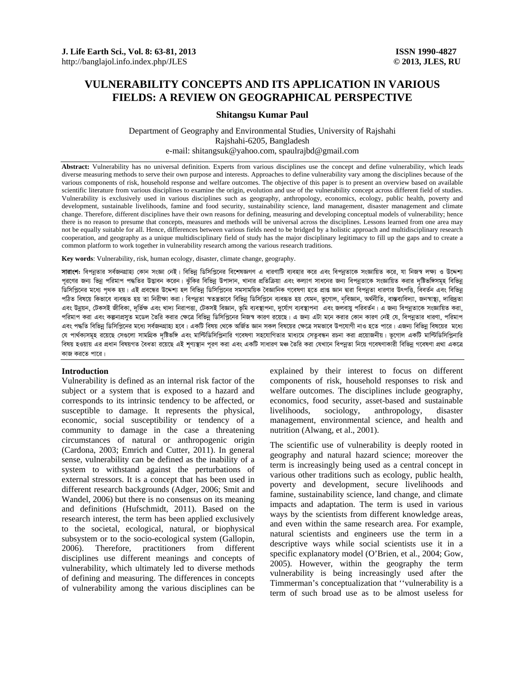# **VULNERABILITY CONCEPTS AND ITS APPLICATION IN VARIOUS FIELDS: A REVIEW ON GEOGRAPHICAL PERSPECTIVE**

# **Shitangsu Kumar Paul**

Department of Geography and Environmental Studies, University of Rajshahi Rajshahi-6205, Bangladesh e-mail: shitangsuk@yahoo.com, spaulrajbd@gmail.com

**Abstract:** Vulnerability has no universal definition. Experts from various disciplines use the concept and define vulnerability, which leads diverse measuring methods to serve their own purpose and interests. Approaches to define vulnerability vary among the disciplines because of the various components of risk, household response and welfare outcomes. The objective of this paper is to present an overview based on available scientific literature from various disciplines to examine the origin, evolution and use of the vulnerability concept across different field of studies. Vulnerability is exclusively used in various disciplines such as geography, anthropology, economics, ecology, public health, poverty and development, sustainable livelihoods, famine and food security, sustainability science, land management, disaster management and climate change. Therefore, different disciplines have their own reasons for defining, measuring and developing conceptual models of vulnerability; hence there is no reason to presume that concepts, measures and methods will be universal across the disciplines. Lessons learned from one area may not be equally suitable for all. Hence, differences between various fields need to be bridged by a holistic approach and multidisciplinary research cooperation, and geography as a unique multidisciplinary field of study has the major disciplinary legitimacy to fill up the gaps and to create a common platform to work together in vulnerability research among the various research traditions.

**Key words**: Vulnerability, risk, human ecology, disaster, climate change, geography.

**সারাংশ:** বিপন্নতার সর্বজনগ্রাহ্য কোন সংজ্ঞা নেই। বিভিন্ন ডিসিপ্লিনের বিশেষজ্ঞগণ এ ধারণাটি ব্যবহার করে গওন্নীয়ত কর<br>তেওঁ কোনো সকলে আমি বিশিক্ষা আৰু মাই বিভিন্ন ডিসিপ্লিনের বিশেষজ্ঞগণ এ ধারণাটি ব্যবহার করে এবং বিপন্নতাকে পরণের জন্য ভিন্ন পরিমাপ পদ্ধতির উদ্ভাবন করেন। ঝাঁকির বিভিন্ন ঊপাদান, খানার প্রতিক্রিয়া এবং কল্যাণ সাধনের জন্য বিগাতকে সংজ্ঞায়িত করার দষ্টিভঙ্গিসমূহ বিভিন্ন ভিসিপ্লিনের মধ্যে পথক হয়। এই প্রবন্ধের উদ্দেশ্য হল বিভিন্ন ভিসিপ্লিনের সমসাময়িক বৈজ্ঞানিক গবেষণা হতে প্রাপ্ত জান দ্বারা বিপন্নতা ধারণার উৎপত্তি, বিবর্তন এবং বিভিন্ন পঠিত বিষয়ে কিভাবে ব্যবহৃত হয় তা নিরীক্ষা করা। বিপন্নতা স্বতন্ত্রভাবে বিভিন্ন ডিগিপ্লিনে ব্যবহৃত হয় যেমন, ভগোল, নবিজ্ঞান, অৰ্থীতি, বাস্তব্যবিদ্যা, জনস্বাস্থ্য, দারিদ্রতা এবং উন্নয়ন, টেকসই জীবিকা, দৰ্ভিক্ষ এবং খাদ্য নিরাপত্তা, টেকসই বিজ্ঞান, ভূমি ব্যবস্থাপনা, দুর্যোগ ব্যবস্থা এবং জলবায়ু পরিবর্তন। এ জন্য বিপন্নতাকে সংজ্ঞায়িত করা, পরিমাপ করা এবং কল্পনাপ্রসূত মডেল তৈরি করার ক্ষেত্রে বিভিন্ন ডিসিপ্লিনের নিজস্ব কারণ রয়েছে। এ জন্য এটা মনে করার কোন কারণ নেই যে, বিপন্নতার ধারণা, পরিমাপ এবং পদ্ধতি বিভিন্ন ডিসিপ্লিনের মধ্যে সর্বজনগ্রাহ্য হবে। একটি বিষয় থেকে অর্জিত জ্ঞান সকল বিষয়ের কেলের সম্পাতিল যে পার্থক্যসমূহ রয়েছে সেগুলো সামগ্রিক দৃষ্টিভঙ্গি এবং মাল্টিভিসিপ্লিনারি গবেষণা সহযোগিতার মাধ্যমে সেতুবন্ধন রচনা করা প্রয়োজনীয়। ভূগোল একটি মাল্টিভিসিপ্লিনারি বিষয় হওয়ায় এর প্রধান বিষয়গত বৈধতা রয়েছে এই শূণ্যস্থান পূরণ করা এবং একটি সাধারণ মঞ্চ তৈরি করা যেখানে বিপন্নতা নিয়ে গবেষণাকারী বিভিন্ন গবেষণা প্রথা একত্রে কাজ করতে পারে।

### **Introduction**

Vulnerability is defined as an internal risk factor of the subject or a system that is exposed to a hazard and corresponds to its intrinsic tendency to be affected, or susceptible to damage. It represents the physical, economic, social susceptibility or tendency of a community to damage in the case a threatening circumstances of natural or anthropogenic origin (Cardona, 2003; Emrich and Cutter, 2011). In general sense, vulnerability can be defined as the inability of a system to withstand against the perturbations of external stressors. It is a concept that has been used in different research backgrounds (Adger, 2006; Smit and Wandel, 2006) but there is no consensus on its meaning and definitions (Hufschmidt, 2011). Based on the research interest, the term has been applied exclusively to the societal, ecological, natural, or biophysical subsystem or to the socio-ecological system (Gallopin, 2006). Therefore, practitioners from different disciplines use different meanings and concepts of vulnerability, which ultimately led to diverse methods of defining and measuring. The differences in concepts of vulnerability among the various disciplines can be

explained by their interest to focus on different components of risk, household responses to risk and welfare outcomes. The disciplines include geography, economics, food security, asset-based and sustainable livelihoods, sociology, anthropology, disaster management, environmental science, and health and nutrition (Alwang, et al., 2001).

The scientific use of vulnerability is deeply rooted in geography and natural hazard science; moreover the term is increasingly being used as a central concept in various other traditions such as ecology, public health, poverty and development, secure livelihoods and famine, sustainability science, land change, and climate impacts and adaptation. The term is used in various ways by the scientists from different knowledge areas, and even within the same research area. For example, natural scientists and engineers use the term in a descriptive ways while social scientists use it in a specific explanatory model (O'Brien, et al., 2004; Gow, 2005). However, within the geography the term vulnerability is being increasingly used after the Timmerman's conceptualization that ''vulnerability is a term of such broad use as to be almost useless for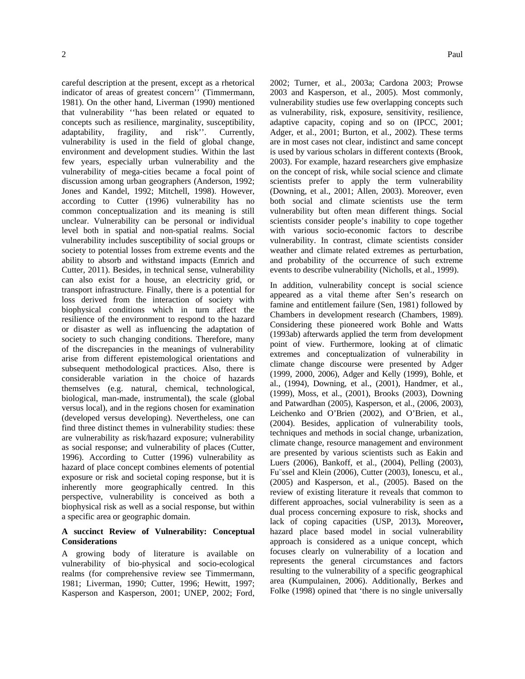careful description at the present, except as a rhetorical indicator of areas of greatest concern'' (Timmermann, 1981). On the other hand, Liverman (1990) mentioned that vulnerability ''has been related or equated to concepts such as resilience, marginality, susceptibility, adaptability, fragility, and risk''. Currently, vulnerability is used in the field of global change, environment and development studies. Within the last few years, especially urban vulnerability and the vulnerability of mega-cities became a focal point of discussion among urban geographers (Anderson, 1992; Jones and Kandel, 1992; Mitchell, 1998). However, according to Cutter (1996) vulnerability has no common conceptualization and its meaning is still unclear. Vulnerability can be personal or individual level both in spatial and non-spatial realms. Social vulnerability includes susceptibility of social groups or society to potential losses from extreme events and the ability to absorb and withstand impacts (Emrich and Cutter, 2011). Besides, in technical sense, vulnerability can also exist for a house, an electricity grid, or transport infrastructure. Finally, there is a potential for loss derived from the interaction of society with biophysical conditions which in turn affect the resilience of the environment to respond to the hazard or disaster as well as influencing the adaptation of society to such changing conditions. Therefore, many of the discrepancies in the meanings of vulnerability arise from different epistemological orientations and subsequent methodological practices. Also, there is considerable variation in the choice of hazards themselves (e.g. natural, chemical, technological, biological, man-made, instrumental), the scale (global versus local), and in the regions chosen for examination (developed versus developing). Nevertheless, one can find three distinct themes in vulnerability studies: these are vulnerability as risk/hazard exposure; vulnerability as social response; and vulnerability of places (Cutter, 1996). According to Cutter (1996) vulnerability as hazard of place concept combines elements of potential exposure or risk and societal coping response, but it is inherently more geographically centred. In this perspective, vulnerability is conceived as both a biophysical risk as well as a social response, but within a specific area or geographic domain.

### **A succinct Review of Vulnerability: Conceptual Considerations**

A growing body of literature is available on vulnerability of bio-physical and socio-ecological realms (for comprehensive review see Timmermann, 1981; Liverman, 1990; Cutter, 1996; Hewitt, 1997; Kasperson and Kasperson, 2001; UNEP, 2002; Ford, 2002; Turner, et al., 2003a; Cardona 2003; Prowse 2003 and Kasperson, et al., 2005). Most commonly, vulnerability studies use few overlapping concepts such as vulnerability, risk, exposure, sensitivity, resilience, adaptive capacity, coping and so on (IPCC, 2001; Adger, et al., 2001; Burton, et al., 2002). These terms are in most cases not clear, indistinct and same concept is used by various scholars in different contexts (Brook, 2003). For example, hazard researchers give emphasize on the concept of risk, while social science and climate scientists prefer to apply the term vulnerability (Downing, et al., 2001; Allen, 2003). Moreover, even both social and climate scientists use the term vulnerability but often mean different things. Social scientists consider people's inability to cope together with various socio-economic factors to describe vulnerability. In contrast, climate scientists consider weather and climate related extremes as perturbation, and probability of the occurrence of such extreme events to describe vulnerability (Nicholls, et al., 1999).

In addition, vulnerability concept is social science appeared as a vital theme after Sen's research on famine and entitlement failure (Sen, 1981) followed by Chambers in development research (Chambers, 1989). Considering these pioneered work Bohle and Watts (1993ab) afterwards applied the term from development point of view. Furthermore, looking at of climatic extremes and conceptualization of vulnerability in climate change discourse were presented by Adger (1999, 2000, 2006), Adger and Kelly (1999), Bohle, et al., (1994), Downing, et al., (2001), Handmer, et al., (1999), Moss, et al., (2001), Brooks (2003), Downing and Patwardhan (2005), Kasperson, et al., (2006, 2003), Leichenko and O'Brien (2002), and O'Brien, et al., (2004). Besides, application of vulnerability tools, techniques and methods in social change, urbanization, climate change, resource management and environment are presented by various scientists such as Eakin and Luers (2006), Bankoff, et al., (2004), Pelling (2003), Fu¨ssel and Klein (2006), Cutter (2003), Ionescu, et al., (2005) and Kasperson, et al., (2005). Based on the review of existing literature it reveals that common to different approaches, social vulnerability is seen as a dual process concerning exposure to risk, shocks and lack of coping capacities (USP, 2013)**.** Moreover**,**  hazard place based model in social vulnerability approach is considered as a unique concept, which focuses clearly on vulnerability of a location and represents the general circumstances and factors resulting to the vulnerability of a specific geographical area (Kumpulainen, 2006). Additionally, Berkes and Folke (1998) opined that 'there is no single universally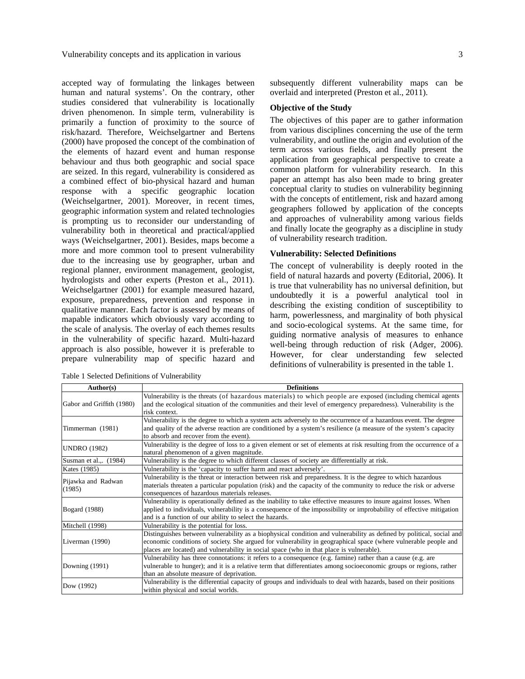accepted way of formulating the linkages between human and natural systems'. On the contrary, other studies considered that vulnerability is locationally driven phenomenon. In simple term, vulnerability is primarily a function of proximity to the source of risk/hazard. Therefore, Weichselgartner and Bertens (2000) have proposed the concept of the combination of the elements of hazard event and human response behaviour and thus both geographic and social space are seized. In this regard, vulnerability is considered as a combined effect of bio-physical hazard and human response with a specific geographic location (Weichselgartner, 2001). Moreover, in recent times, geographic information system and related technologies is prompting us to reconsider our understanding of vulnerability both in theoretical and practical/applied ways (Weichselgartner, 2001). Besides, maps become a more and more common tool to present vulnerability due to the increasing use by geographer, urban and regional planner, environment management, geologist, hydrologists and other experts (Preston et al., 2011). Weichselgartner (2001) for example measured hazard, exposure, preparedness, prevention and response in qualitative manner. Each factor is assessed by means of mapable indicators which obviously vary according to the scale of analysis. The overlay of each themes results in the vulnerability of specific hazard. Multi-hazard approach is also possible, however it is preferable to prepare vulnerability map of specific hazard and

Table 1 Selected Definitions of Vulnerability

subsequently different vulnerability maps can be overlaid and interpreted (Preston et al., 2011).

## **Objective of the Study**

The objectives of this paper are to gather information from various disciplines concerning the use of the term vulnerability, and outline the origin and evolution of the term across various fields, and finally present the application from geographical perspective to create a common platform for vulnerability research. In this paper an attempt has also been made to bring greater conceptual clarity to studies on vulnerability beginning with the concepts of entitlement, risk and hazard among geographers followed by application of the concepts and approaches of vulnerability among various fields and finally locate the geography as a discipline in study of vulnerability research tradition.

### **Vulnerability: Selected Definitions**

The concept of vulnerability is deeply rooted in the field of natural hazards and poverty (Editorial, 2006). It is true that vulnerability has no universal definition, but undoubtedly it is a powerful analytical tool in describing the existing condition of susceptibility to harm, powerlessness, and marginality of both physical and socio-ecological systems. At the same time, for guiding normative analysis of measures to enhance well-being through reduction of risk (Adger, 2006). However, for clear understanding few selected definitions of vulnerability is presented in the table 1.

| Author(s)                    | <b>Definitions</b>                                                                                                                                                                                                                                                                                                                  |  |  |
|------------------------------|-------------------------------------------------------------------------------------------------------------------------------------------------------------------------------------------------------------------------------------------------------------------------------------------------------------------------------------|--|--|
| Gabor and Griffith (1980)    | Vulnerability is the threats (of hazardous materials) to which people are exposed (including chemical agents<br>and the ecological situation of the communities and their level of emergency preparedness). Vulnerability is the<br>risk context.                                                                                   |  |  |
| Timmerman (1981)             | Vulnerability is the degree to which a system acts adversely to the occurrence of a hazardous event. The degree<br>and quality of the adverse reaction are conditioned by a system's resilience (a measure of the system's capacity<br>to absorb and recover from the event).                                                       |  |  |
| <b>UNDRO (1982)</b>          | Vulnerability is the degree of loss to a given element or set of elements at risk resulting from the occurrence of a<br>natural phenomenon of a given magnitude.                                                                                                                                                                    |  |  |
| Susman et al.,. (1984)       | Vulnerability is the degree to which different classes of society are differentially at risk.                                                                                                                                                                                                                                       |  |  |
| Kates (1985)                 | Vulnerability is the 'capacity to suffer harm and react adversely'.                                                                                                                                                                                                                                                                 |  |  |
| Pijawka and Radwan<br>(1985) | Vulnerability is the threat or interaction between risk and preparedness. It is the degree to which hazardous<br>materials threaten a particular population (risk) and the capacity of the community to reduce the risk or adverse<br>consequences of hazardous materials releases.                                                 |  |  |
| <b>Bogard</b> (1988)         | Vulnerability is operationally defined as the inability to take effective measures to insure against losses. When<br>applied to individuals, vulnerability is a consequence of the impossibility or improbability of effective mitigation<br>and is a function of our ability to select the hazards.                                |  |  |
| Mitchell (1998)              | Vulnerability is the potential for loss.                                                                                                                                                                                                                                                                                            |  |  |
| Liverman (1990)              | Distinguishes between vulnerability as a biophysical condition and vulnerability as defined by political, social and<br>economic conditions of society. She argued for vulnerability in geographical space (where vulnerable people and<br>places are located) and vulnerability in social space (who in that place is vulnerable). |  |  |
| Downing (1991)               | Vulnerability has three connotations: it refers to a consequence (e.g. famine) rather than a cause (e.g. are<br>vulnerable to hunger); and it is a relative term that differentiates among socioeconomic groups or regions, rather<br>than an absolute measure of deprivation.                                                      |  |  |
| Dow (1992)                   | Vulnerability is the differential capacity of groups and individuals to deal with hazards, based on their positions<br>within physical and social worlds.                                                                                                                                                                           |  |  |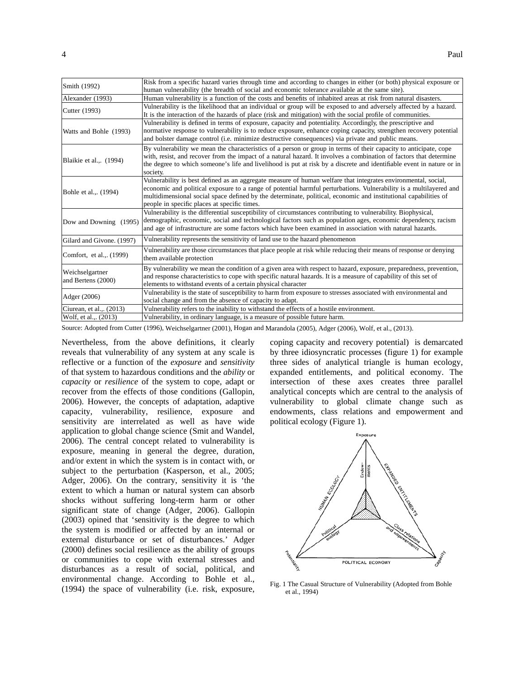| Smith (1992)                          | Risk from a specific hazard varies through time and according to changes in either (or both) physical exposure or<br>human vulnerability (the breadth of social and economic tolerance available at the same site).                                                                                                                                                                                    |  |  |
|---------------------------------------|--------------------------------------------------------------------------------------------------------------------------------------------------------------------------------------------------------------------------------------------------------------------------------------------------------------------------------------------------------------------------------------------------------|--|--|
| Alexander (1993)                      | Human vulnerability is a function of the costs and benefits of inhabited areas at risk from natural disasters.                                                                                                                                                                                                                                                                                         |  |  |
| Cutter (1993)                         | Vulnerability is the likelihood that an individual or group will be exposed to and adversely affected by a hazard.<br>It is the interaction of the hazards of place (risk and mitigation) with the social profile of communities.                                                                                                                                                                      |  |  |
| Watts and Bohle (1993)                | Vulnerability is defined in terms of exposure, capacity and potentiality. Accordingly, the prescriptive and<br>normative response to vulnerability is to reduce exposure, enhance coping capacity, strengthen recovery potential<br>and bolster damage control (i.e. minimize destructive consequences) via private and public means.                                                                  |  |  |
| Blaikie et al.,. (1994)               | By vulnerability we mean the characteristics of a person or group in terms of their capacity to anticipate, cope<br>with, resist, and recover from the impact of a natural hazard. It involves a combination of factors that determine<br>the degree to which someone's life and livelihood is put at risk by a discrete and identifiable event in nature or in<br>society.                            |  |  |
| Bohle et al., (1994)                  | Vulnerability is best defined as an aggregate measure of human welfare that integrates environmental, social,<br>economic and political exposure to a range of potential harmful perturbations. Vulnerability is a multilayered and<br>multidimensional social space defined by the determinate, political, economic and institutional capabilities of<br>people in specific places at specific times. |  |  |
| Dow and Downing (1995)                | Vulnerability is the differential susceptibility of circumstances contributing to vulnerability. Biophysical,<br>demographic, economic, social and technological factors such as population ages, economic dependency, racism<br>and age of infrastructure are some factors which have been examined in association with natural hazards.                                                              |  |  |
| Gilard and Givone. (1997)             | Vulnerability represents the sensitivity of land use to the hazard phenomenon                                                                                                                                                                                                                                                                                                                          |  |  |
| Comfort, et al., (1999)               | Vulnerability are those circumstances that place people at risk while reducing their means of response or denying<br>them available protection                                                                                                                                                                                                                                                         |  |  |
| Weichselgartner<br>and Bertens (2000) | By vulnerability we mean the condition of a given area with respect to hazard, exposure, preparedness, prevention,<br>and response characteristics to cope with specific natural hazards. It is a measure of capability of this set of<br>elements to withstand events of a certain physical character                                                                                                 |  |  |
| Adger (2006)                          | Vulnerability is the state of susceptibility to harm from exposure to stresses associated with environmental and<br>social change and from the absence of capacity to adapt.                                                                                                                                                                                                                           |  |  |
| Ciurean, et al.,. (2013)              | Vulnerability refers to the inability to withstand the effects of a hostile environment.                                                                                                                                                                                                                                                                                                               |  |  |
| Wolf, et al.,. (2013)                 | Vulnerability, in ordinary language, is a measure of possible future harm.                                                                                                                                                                                                                                                                                                                             |  |  |

Source: Adopted from Cutter (1996), Weichselgartner (2001), Hogan and Marandola (2005), Adger (2006), Wolf, et al., (2013).

Nevertheless, from the above definitions, it clearly reveals that vulnerability of any system at any scale is reflective or a function of the *exposure* and *sensitivity* of that system to hazardous conditions and the *ability* or *capacity* or *resilience* of the system to cope, adapt or recover from the effects of those conditions (Gallopin, 2006). However, the concepts of adaptation, adaptive capacity, vulnerability, resilience, exposure and sensitivity are interrelated as well as have wide application to global change science (Smit and Wandel, 2006). The central concept related to vulnerability is exposure, meaning in general the degree, duration, and/or extent in which the system is in contact with, or subject to the perturbation (Kasperson, et al., 2005; Adger, 2006). On the contrary, sensitivity it is 'the extent to which a human or natural system can absorb shocks without suffering long-term harm or other significant state of change (Adger, 2006). Gallopin (2003) opined that 'sensitivity is the degree to which the system is modified or affected by an internal or external disturbance or set of disturbances.' Adger (2000) defines social resilience as the ability of groups or communities to cope with external stresses and disturbances as a result of social, political, and environmental change. According to Bohle et al., (1994) the space of vulnerability (i.e. risk, exposure,

coping capacity and recovery potential) is demarcated by three idiosyncratic processes (figure 1) for example three sides of analytical triangle is human ecology, expanded entitlements, and political economy. The intersection of these axes creates three parallel analytical concepts which are central to the analysis of vulnerability to global climate change such as endowments, class relations and empowerment and political ecology (Figure 1).



Fig. 1 The Casual Structure of Vulnerability (Adopted from Bohle et al., 1994)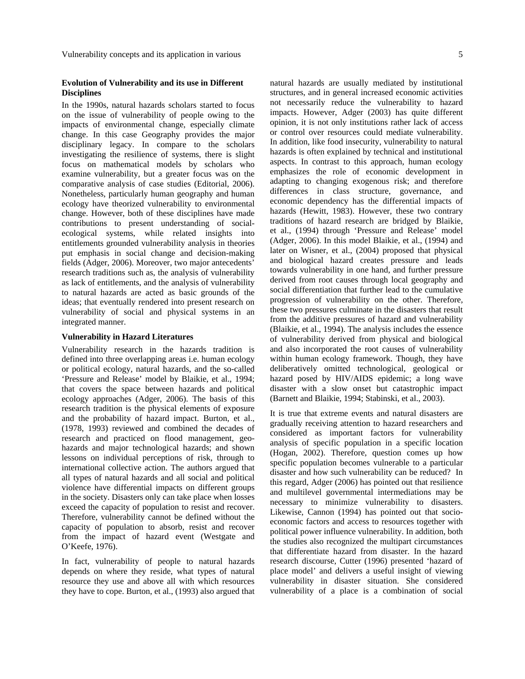# **Evolution of Vulnerability and its use in Different Disciplines**

In the 1990s, natural hazards scholars started to focus on the issue of vulnerability of people owing to the impacts of environmental change, especially climate change. In this case Geography provides the major disciplinary legacy. In compare to the scholars investigating the resilience of systems, there is slight focus on mathematical models by scholars who examine vulnerability, but a greater focus was on the comparative analysis of case studies (Editorial, 2006). Nonetheless, particularly human geography and human ecology have theorized vulnerability to environmental change. However, both of these disciplines have made contributions to present understanding of socialecological systems, while related insights into entitlements grounded vulnerability analysis in theories put emphasis in social change and decision-making fields (Adger, 2006). Moreover, two major antecedents' research traditions such as, the analysis of vulnerability as lack of entitlements, and the analysis of vulnerability to natural hazards are acted as basic grounds of the ideas; that eventually rendered into present research on vulnerability of social and physical systems in an integrated manner.

#### **Vulnerability in Hazard Literatures**

Vulnerability research in the hazards tradition is defined into three overlapping areas i.e. human ecology or political ecology, natural hazards, and the so-called 'Pressure and Release' model by Blaikie, et al., 1994; that covers the space between hazards and political ecology approaches (Adger, 2006). The basis of this research tradition is the physical elements of exposure and the probability of hazard impact. Burton, et al., (1978, 1993) reviewed and combined the decades of research and practiced on flood management, geohazards and major technological hazards; and shown lessons on individual perceptions of risk, through to international collective action. The authors argued that all types of natural hazards and all social and political violence have differential impacts on different groups in the society. Disasters only can take place when losses exceed the capacity of population to resist and recover. Therefore, vulnerability cannot be defined without the capacity of population to absorb, resist and recover from the impact of hazard event (Westgate and O'Keefe, 1976).

In fact, vulnerability of people to natural hazards depends on where they reside, what types of natural resource they use and above all with which resources they have to cope. Burton, et al., (1993) also argued that natural hazards are usually mediated by institutional structures, and in general increased economic activities not necessarily reduce the vulnerability to hazard impacts. However, Adger (2003) has quite different opinion, it is not only institutions rather lack of access or control over resources could mediate vulnerability. In addition, like food insecurity, vulnerability to natural hazards is often explained by technical and institutional aspects. In contrast to this approach, human ecology emphasizes the role of economic development in adapting to changing exogenous risk; and therefore differences in class structure, governance, and economic dependency has the differential impacts of hazards (Hewitt, 1983). However, these two contrary traditions of hazard research are bridged by Blaikie, et al., (1994) through 'Pressure and Release' model (Adger, 2006). In this model Blaikie, et al., (1994) and later on Wisner, et al., (2004) proposed that physical and biological hazard creates pressure and leads towards vulnerability in one hand, and further pressure derived from root causes through local geography and social differentiation that further lead to the cumulative progression of vulnerability on the other. Therefore, these two pressures culminate in the disasters that result from the additive pressures of hazard and vulnerability (Blaikie, et al., 1994). The analysis includes the essence of vulnerability derived from physical and biological and also incorporated the root causes of vulnerability within human ecology framework. Though, they have deliberatively omitted technological, geological or hazard posed by HIV/AIDS epidemic; a long wave disaster with a slow onset but catastrophic impact (Barnett and Blaikie, 1994; Stabinski, et al., 2003).

It is true that extreme events and natural disasters are gradually receiving attention to hazard researchers and considered as important factors for vulnerability analysis of specific population in a specific location (Hogan, 2002). Therefore, question comes up how specific population becomes vulnerable to a particular disaster and how such vulnerability can be reduced? In this regard, Adger (2006) has pointed out that resilience and multilevel governmental intermediations may be necessary to minimize vulnerability to disasters. Likewise, Cannon (1994) has pointed out that socioeconomic factors and access to resources together with political power influence vulnerability. In addition, both the studies also recognized the multipart circumstances that differentiate hazard from disaster. In the hazard research discourse, Cutter (1996) presented 'hazard of place model' and delivers a useful insight of viewing vulnerability in disaster situation. She considered vulnerability of a place is a combination of social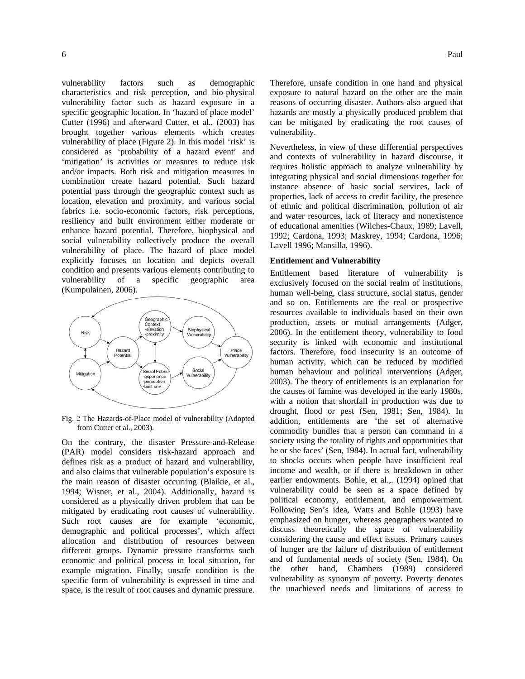vulnerability factors such as demographic characteristics and risk perception, and bio-physical vulnerability factor such as hazard exposure in a specific geographic location. In 'hazard of place model' Cutter (1996) and afterward Cutter, et al., (2003) has brought together various elements which creates vulnerability of place (Figure 2). In this model 'risk' is considered as 'probability of a hazard event' and 'mitigation' is activities or measures to reduce risk and/or impacts. Both risk and mitigation measures in combination create hazard potential. Such hazard potential pass through the geographic context such as location, elevation and proximity, and various social fabrics i.e. socio-economic factors, risk perceptions, resiliency and built environment either moderate or enhance hazard potential. Therefore, biophysical and social vulnerability collectively produce the overall vulnerability of place. The hazard of place model explicitly focuses on location and depicts overall condition and presents various elements contributing to vulnerability of a specific geographic area (Kumpulainen, 2006).



Fig. 2 The Hazards-of-Place model of vulnerability (Adopted from Cutter et al., 2003).

On the contrary, the disaster Pressure-and-Release (PAR) model considers risk-hazard approach and defines risk as a product of hazard and vulnerability, and also claims that vulnerable population's exposure is the main reason of disaster occurring (Blaikie, et al., 1994; Wisner, et al., 2004). Additionally, hazard is considered as a physically driven problem that can be mitigated by eradicating root causes of vulnerability. Such root causes are for example 'economic, demographic and political processes', which affect allocation and distribution of resources between different groups. Dynamic pressure transforms such economic and political process in local situation, for example migration. Finally, unsafe condition is the specific form of vulnerability is expressed in time and space, is the result of root causes and dynamic pressure.

Therefore, unsafe condition in one hand and physical exposure to natural hazard on the other are the main reasons of occurring disaster. Authors also argued that hazards are mostly a physically produced problem that can be mitigated by eradicating the root causes of vulnerability.

Nevertheless, in view of these differential perspectives and contexts of vulnerability in hazard discourse, it requires holistic approach to analyze vulnerability by integrating physical and social dimensions together for instance absence of basic social services, lack of properties, lack of access to credit facility, the presence of ethnic and political discrimination, pollution of air and water resources, lack of literacy and nonexistence of educational amenities (Wilches-Chaux, 1989; Lavell, 1992; Cardona, 1993; Maskrey, 1994; Cardona, 1996; Lavell 1996; Mansilla, 1996).

#### **Entitlement and Vulnerability**

Entitlement based literature of vulnerability is exclusively focused on the social realm of institutions, human well-being, class structure, social status, gender and so on. Entitlements are the real or prospective resources available to individuals based on their own production, assets or mutual arrangements (Adger, 2006). In the entitlement theory, vulnerability to food security is linked with economic and institutional factors. Therefore, food insecurity is an outcome of human activity, which can be reduced by modified human behaviour and political interventions (Adger, 2003). The theory of entitlements is an explanation for the causes of famine was developed in the early 1980s, with a notion that shortfall in production was due to drought, flood or pest (Sen, 1981; Sen, 1984). In addition, entitlements are 'the set of alternative commodity bundles that a person can command in a society using the totality of rights and opportunities that he or she faces' (Sen, 1984). In actual fact, vulnerability to shocks occurs when people have insufficient real income and wealth, or if there is breakdown in other earlier endowments. Bohle, et al.,. (1994) opined that vulnerability could be seen as a space defined by political economy, entitlement, and empowerment. Following Sen's idea, Watts and Bohle (1993) have emphasized on hunger, whereas geographers wanted to discuss theoretically the space of vulnerability considering the cause and effect issues. Primary causes of hunger are the failure of distribution of entitlement and of fundamental needs of society (Sen, 1984). On the other hand, Chambers (1989) considered vulnerability as synonym of poverty. Poverty denotes the unachieved needs and limitations of access to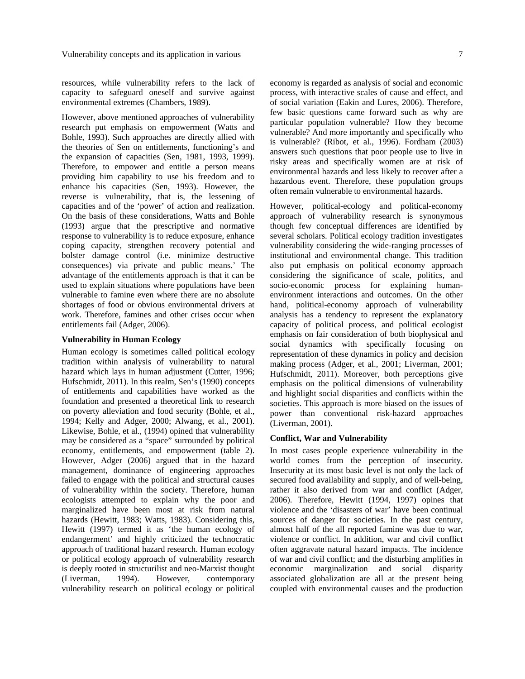resources, while vulnerability refers to the lack of capacity to safeguard oneself and survive against environmental extremes (Chambers, 1989).

However, above mentioned approaches of vulnerability research put emphasis on empowerment (Watts and Bohle, 1993). Such approaches are directly allied with the theories of Sen on entitlements, functioning's and the expansion of capacities (Sen, 1981, 1993, 1999). Therefore, to empower and entitle a person means providing him capability to use his freedom and to enhance his capacities (Sen, 1993). However, the reverse is vulnerability, that is, the lessening of capacities and of the 'power' of action and realization. On the basis of these considerations, Watts and Bohle (1993) argue that the prescriptive and normative response to vulnerability is to reduce exposure, enhance coping capacity, strengthen recovery potential and bolster damage control (i.e. minimize destructive consequences) via private and public means.' The advantage of the entitlements approach is that it can be used to explain situations where populations have been vulnerable to famine even where there are no absolute shortages of food or obvious environmental drivers at work. Therefore, famines and other crises occur when entitlements fail (Adger, 2006).

# **Vulnerability in Human Ecology**

Human ecology is sometimes called political ecology tradition within analysis of vulnerability to natural hazard which lays in human adjustment (Cutter, 1996; Hufschmidt, 2011). In this realm, Sen's (1990) concepts of entitlements and capabilities have worked as the foundation and presented a theoretical link to research on poverty alleviation and food security (Bohle, et al., 1994; Kelly and Adger, 2000; Alwang, et al., 2001). Likewise, Bohle, et al., (1994) opined that vulnerability may be considered as a "space" surrounded by political economy, entitlements, and empowerment (table 2). However, Adger (2006) argued that in the hazard management, dominance of engineering approaches failed to engage with the political and structural causes of vulnerability within the society. Therefore, human ecologists attempted to explain why the poor and marginalized have been most at risk from natural hazards (Hewitt, 1983; Watts, 1983). Considering this, Hewitt (1997) termed it as 'the human ecology of endangerment' and highly criticized the technocratic approach of traditional hazard research. Human ecology or political ecology approach of vulnerability research is deeply rooted in structurilist and neo-Marxist thought (Liverman, 1994). However, contemporary vulnerability research on political ecology or political

economy is regarded as analysis of social and economic process, with interactive scales of cause and effect, and of social variation (Eakin and Lures, 2006). Therefore, few basic questions came forward such as why are particular population vulnerable? How they become vulnerable? And more importantly and specifically who is vulnerable? (Ribot, et al., 1996). Fordham (2003) answers such questions that poor people use to live in risky areas and specifically women are at risk of environmental hazards and less likely to recover after a hazardous event. Therefore, these population groups often remain vulnerable to environmental hazards.

However, political-ecology and political-economy approach of vulnerability research is synonymous though few conceptual differences are identified by several scholars. Political ecology tradition investigates vulnerability considering the wide-ranging processes of institutional and environmental change. This tradition also put emphasis on political economy approach considering the significance of scale, politics, and socio-economic process for explaining humanenvironment interactions and outcomes. On the other hand, political-economy approach of vulnerability analysis has a tendency to represent the explanatory capacity of political process, and political ecologist emphasis on fair consideration of both biophysical and social dynamics with specifically focusing on representation of these dynamics in policy and decision making process (Adger, et al., 2001; Liverman, 2001; Hufschmidt, 2011). Moreover, both perceptions give emphasis on the political dimensions of vulnerability and highlight social disparities and conflicts within the societies. This approach is more biased on the issues of power than conventional risk-hazard approaches (Liverman, 2001).

### **Conflict, War and Vulnerability**

In most cases people experience vulnerability in the world comes from the perception of insecurity. Insecurity at its most basic level is not only the lack of secured food availability and supply, and of well-being, rather it also derived from war and conflict (Adger, 2006). Therefore, Hewitt (1994, 1997) opines that violence and the 'disasters of war' have been continual sources of danger for societies. In the past century, almost half of the all reported famine was due to war, violence or conflict. In addition, war and civil conflict often aggravate natural hazard impacts. The incidence of war and civil conflict; and the disturbing amplifies in economic marginalization and social disparity associated globalization are all at the present being coupled with environmental causes and the production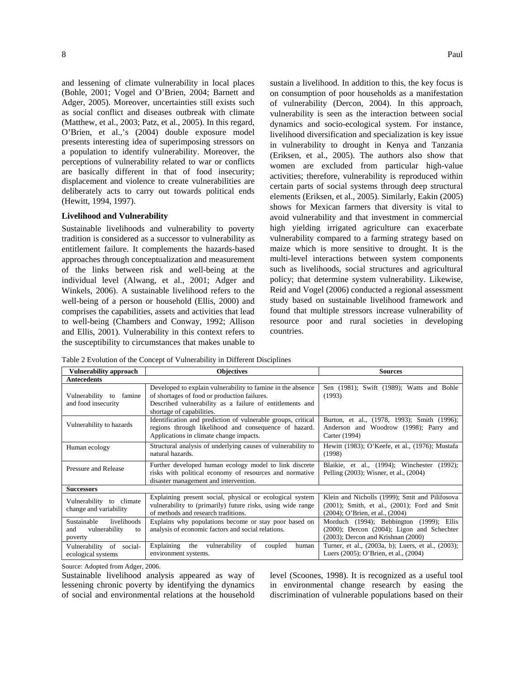and lessening of climate vulnerability in local places (Bohle, 2001; Vogel and O'Brien, 2004; Barnett and Adger, 2005). Moreover, uncertainties still exists such as social conflict and diseases outbreak with climate (Matthew, et al., 2003; Patz, et al., 2005). In this regard, O'Brien, et al.,'s (2004) double exposure model presents interesting idea of superimposing stressors on a population to identify vulnerability. Moreover, the perceptions of vulnerability related to war or conflicts are basically different in that of food insecurity; displacement and violence to create vulnerabilities are deliberately acts to carry out towards political ends (Hewitt, 1994, 1997).

#### **Livelihood and Vulnerability**

Sustainable livelihoods and vulnerability to poverty tradition is considered as a successor to vulnerability as entitlement failure. It complements the hazards-based approaches through conceptualization and measurement of the links between risk and well-being at the individual level (Alwang, et al., 2001; Adger and Winkels, 2006). A sustainable livelihood refers to the well-being of a person or household (Ellis, 2000) and comprises the capabilities, assets and activities that lead to well-being (Chambers and Conway, 1992; Allison and Ellis, 2001). Vulnerability in this context refers to the susceptibility to circumstances that makes unable to

sustain a livelihood. In addition to this, the key focus is on consumption of poor households as a manifestation of vulnerability (Dercon, 2004). In this approach, vulnerability is seen as the interaction between social dynamics and socio-ecological system. For instance, livelihood diversification and specialization is key issue in vulnerability to drought in Kenya and Tanzania (Eriksen, et al., 2005). The authors also show that women are excluded from particular high-value activities; therefore, vulnerability is reproduced within certain parts of social systems through deep structural elements (Eriksen, et al., 2005). Similarly, Eakin (2005) shows for Mexican farmers that diversity is vital to avoid vulnerability and that investment in commercial high yielding irrigated agriculture can exacerbate vulnerability compared to a farming strategy based on maize which is more sensitive to drought. It is the multi-level interactions between system components such as livelihoods, social structures and agricultural policy; that determine system vulnerability. Likewise, Reid and Vogel (2006) conducted a regional assessment study based on sustainable livelihood framework and found that multiple stressors increase vulnerability of resource poor and rural societies in developing countries.

Table 2 Evolution of the Concept of Vulnerability in Different Disciplines

| <b>Vulnerability approach</b>                                       | <b>Objectives</b>                                                                                                                                                                                    | <b>Sources</b>                                                                                                                          |  |  |
|---------------------------------------------------------------------|------------------------------------------------------------------------------------------------------------------------------------------------------------------------------------------------------|-----------------------------------------------------------------------------------------------------------------------------------------|--|--|
| <b>Antecedents</b>                                                  |                                                                                                                                                                                                      |                                                                                                                                         |  |  |
| Vulnerability to<br>famine<br>and food insecurity                   | Developed to explain vulnerability to famine in the absence<br>of shortages of food or production failures.<br>Described vulnerability as a failure of entitlements and<br>shortage of capabilities. | Sen (1981); Swift (1989); Watts and Bohle<br>(1993)                                                                                     |  |  |
| Vulnerability to hazards                                            | Identification and prediction of vulnerable groups, critical<br>regions through likelihood and consequence of hazard.<br>Applications in climate change impacts.                                     | Burton, et al., (1978, 1993); Smith (1996);<br>Anderson and Woodrow (1998); Parry and<br>Carter (1994)                                  |  |  |
| Human ecology                                                       | Structural analysis of underlying causes of vulnerability to<br>natural hazards.                                                                                                                     | Hewitt (1983); O'Keefe, et al., (1976); Mustafa<br>(1998)                                                                               |  |  |
| Pressure and Release                                                | Further developed human ecology model to link discrete<br>risks with political economy of resources and normative<br>disaster management and intervention.                                           | Blaikie, et al., (1994); Winchester (1992);<br>Pelling (2003); Wisner, et al., (2004)                                                   |  |  |
| <b>Successors</b>                                                   |                                                                                                                                                                                                      |                                                                                                                                         |  |  |
| Vulnerability to climate<br>change and variability                  | Explaining present social, physical or ecological system<br>vulnerability to (primarily) future risks, using wide range<br>of methods and research traditions.                                       | Klein and Nicholls (1999); Smit and Pilifosova<br>$(2001)$ ; Smith, et al., $(2001)$ ; Ford and Smit<br>(2004); O'Brien, et al., (2004) |  |  |
| Sustainable<br>livelihoods<br>vulnerability<br>and<br>to<br>poverty | Explains why populations become or stay poor based on<br>analysis of economic factors and social relations.                                                                                          | Morduch (1994); Bebbington (1999); Ellis<br>$(2000)$ ; Dercon $(2004)$ ; Ligon and Schechter<br>$(2003)$ ; Dercon and Krishnan $(2000)$ |  |  |
| Vulnerability of<br>social-<br>ecological systems                   | the<br>vulnerability<br>of<br>Explaining<br>coupled<br>human<br>environment systems.                                                                                                                 | Turner, et al., (2003a, b); Luers, et al., (2003);<br>Luers (2005); O'Brien, et al., (2004)                                             |  |  |

Source: Adopted from Adger, 2006.

Sustainable livelihood analysis appeared as way of lessening chronic poverty by identifying the dynamics of social and environmental relations at the household

level (Scoones, 1998). It is recognized as a useful tool in environmental change research by easing the discrimination of vulnerable populations based on their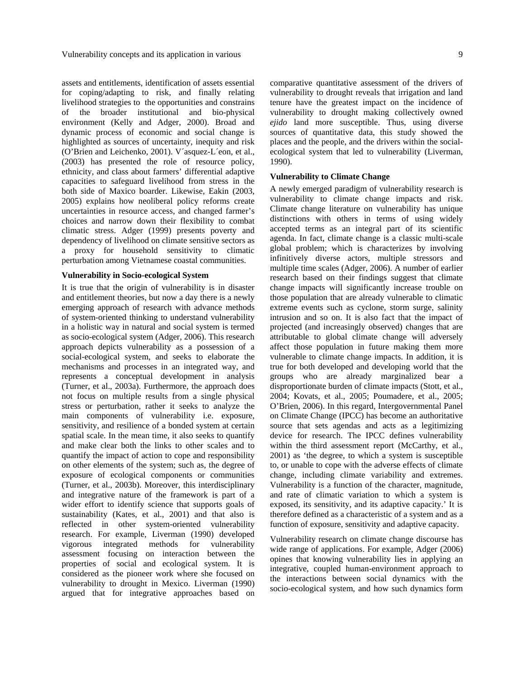assets and entitlements, identification of assets essential for coping/adapting to risk, and finally relating livelihood strategies to the opportunities and constrains of the broader institutional and bio-physical environment (Kelly and Adger, 2000). Broad and dynamic process of economic and social change is highlighted as sources of uncertainty, inequity and risk (O'Brien and Leichenko, 2001). V´asquez-L´eon, et al., (2003) has presented the role of resource policy, ethnicity, and class about farmers' differential adaptive capacities to safeguard livelihood from stress in the both side of Maxico boarder. Likewise, Eakin (2003, 2005) explains how neoliberal policy reforms create uncertainties in resource access, and changed farmer's choices and narrow down their flexibility to combat climatic stress. Adger (1999) presents poverty and dependency of livelihood on climate sensitive sectors as a proxy for household sensitivity to climatic perturbation among Vietnamese coastal communities.

#### **Vulnerability in Socio-ecological System**

It is true that the origin of vulnerability is in disaster and entitlement theories, but now a day there is a newly emerging approach of research with advance methods of system-oriented thinking to understand vulnerability in a holistic way in natural and social system is termed as socio-ecological system (Adger, 2006). This research approach depicts vulnerability as a possession of a social-ecological system, and seeks to elaborate the mechanisms and processes in an integrated way, and represents a conceptual development in analysis (Turner, et al., 2003a). Furthermore, the approach does not focus on multiple results from a single physical stress or perturbation, rather it seeks to analyze the main components of vulnerability i.e. exposure, sensitivity, and resilience of a bonded system at certain spatial scale. In the mean time, it also seeks to quantify and make clear both the links to other scales and to quantify the impact of action to cope and responsibility on other elements of the system; such as, the degree of exposure of ecological components or communities (Turner, et al., 2003b). Moreover, this interdisciplinary and integrative nature of the framework is part of a wider effort to identify science that supports goals of sustainability (Kates, et al., 2001) and that also is reflected in other system-oriented vulnerability research. For example, Liverman (1990) developed vigorous integrated methods for vulnerability assessment focusing on interaction between the properties of social and ecological system. It is considered as the pioneer work where she focused on vulnerability to drought in Mexico. Liverman (1990) argued that for integrative approaches based on

comparative quantitative assessment of the drivers of vulnerability to drought reveals that irrigation and land tenure have the greatest impact on the incidence of vulnerability to drought making collectively owned *ejido* land more susceptible. Thus, using diverse sources of quantitative data, this study showed the places and the people, and the drivers within the socialecological system that led to vulnerability (Liverman, 1990).

#### **Vulnerability to Climate Change**

A newly emerged paradigm of vulnerability research is vulnerability to climate change impacts and risk. Climate change literature on vulnerability has unique distinctions with others in terms of using widely accepted terms as an integral part of its scientific agenda. In fact, climate change is a classic multi-scale global problem; which is characterizes by involving infinitively diverse actors, multiple stressors and multiple time scales (Adger, 2006). A number of earlier research based on their findings suggest that climate change impacts will significantly increase trouble on those population that are already vulnerable to climatic extreme events such as cyclone, storm surge, salinity intrusion and so on. It is also fact that the impact of projected (and increasingly observed) changes that are attributable to global climate change will adversely affect those population in future making them more vulnerable to climate change impacts. In addition, it is true for both developed and developing world that the groups who are already marginalized bear a disproportionate burden of climate impacts (Stott, et al., 2004; Kovats, et al., 2005; Poumadere, et al., 2005; O'Brien, 2006). In this regard, Intergovernmental Panel on Climate Change (IPCC) has become an authoritative source that sets agendas and acts as a legitimizing device for research. The IPCC defines vulnerability within the third assessment report (McCarthy, et al., 2001) as 'the degree, to which a system is susceptible to, or unable to cope with the adverse effects of climate change, including climate variability and extremes. Vulnerability is a function of the character, magnitude, and rate of climatic variation to which a system is exposed, its sensitivity, and its adaptive capacity.' It is therefore defined as a characteristic of a system and as a function of exposure, sensitivity and adaptive capacity.

Vulnerability research on climate change discourse has wide range of applications. For example, Adger (2006) opines that knowing vulnerability lies in applying an integrative, coupled human-environment approach to the interactions between social dynamics with the socio-ecological system, and how such dynamics form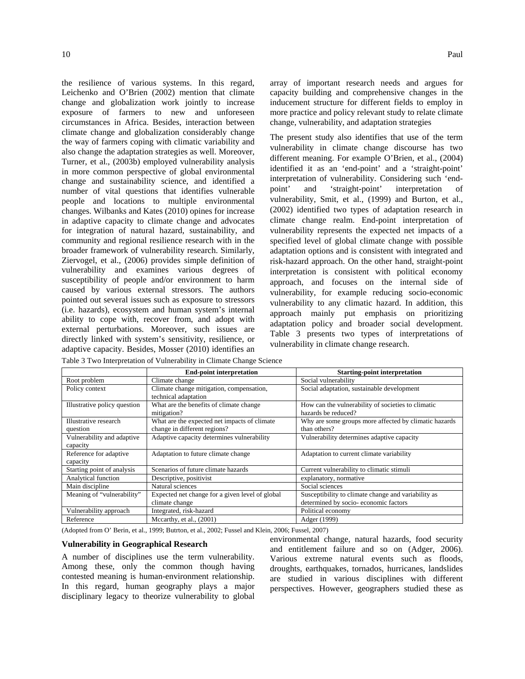the resilience of various systems. In this regard, Leichenko and O'Brien (2002) mention that climate change and globalization work jointly to increase exposure of farmers to new and unforeseen circumstances in Africa. Besides, interaction between climate change and globalization considerably change the way of farmers coping with climatic variability and also change the adaptation strategies as well. Moreover, Turner, et al., (2003b) employed vulnerability analysis in more common perspective of global environmental change and sustainability science, and identified a number of vital questions that identifies vulnerable people and locations to multiple environmental changes. Wilbanks and Kates (2010) opines for increase in adaptive capacity to climate change and advocates for integration of natural hazard, sustainability, and community and regional resilience research with in the broader framework of vulnerability research. Similarly, Ziervogel, et al., (2006) provides simple definition of vulnerability and examines various degrees of susceptibility of people and/or environment to harm caused by various external stressors. The authors pointed out several issues such as exposure to stressors (i.e. hazards), ecosystem and human system's internal ability to cope with, recover from, and adopt with external perturbations. Moreover, such issues are directly linked with system's sensitivity, resilience, or adaptive capacity. Besides, Mosser (2010) identifies an

array of important research needs and argues for capacity building and comprehensive changes in the inducement structure for different fields to employ in more practice and policy relevant study to relate climate change, vulnerability, and adaptation strategies

The present study also identifies that use of the term vulnerability in climate change discourse has two different meaning. For example O'Brien*,* et al., (2004) identified it as an 'end-point' and a 'straight-point' interpretation of vulnerability. Considering such 'endpoint' and 'straight-point' interpretation of vulnerability, Smit, et al., (1999) and Burton, et al., (2002) identified two types of adaptation research in climate change realm. End-point interpretation of vulnerability represents the expected net impacts of a specified level of global climate change with possible adaptation options and is consistent with integrated and risk-hazard approach. On the other hand, straight-point interpretation is consistent with political economy approach, and focuses on the internal side of vulnerability, for example reducing socio-economic vulnerability to any climatic hazard. In addition, this approach mainly put emphasis on prioritizing adaptation policy and broader social development. Table 3 presents two types of interpretations of vulnerability in climate change research.

|                              | <b>End-point interpretation</b>                 | <b>Starting-point interpretation</b>                  |
|------------------------------|-------------------------------------------------|-------------------------------------------------------|
| Root problem                 | Climate change                                  | Social vulnerability                                  |
| Policy context               | Climate change mitigation, compensation,        | Social adaptation, sustainable development            |
|                              | technical adaptation                            |                                                       |
| Illustrative policy question | What are the benefits of climate change         | How can the vulnerability of societies to climatic    |
|                              | mitigation?                                     | hazards be reduced?                                   |
| Illustrative research        | What are the expected net impacts of climate    | Why are some groups more affected by climatic hazards |
| question                     | change in different regions?                    | than others?                                          |
| Vulnerability and adaptive   | Adaptive capacity determines vulnerability      | Vulnerability determines adaptive capacity            |
| capacity                     |                                                 |                                                       |
| Reference for adaptive       | Adaptation to future climate change             | Adaptation to current climate variability             |
| capacity                     |                                                 |                                                       |
| Starting point of analysis   | Scenarios of future climate hazards             | Current vulnerability to climatic stimuli             |
| Analytical function          | Descriptive, positivist                         | explanatory, normative                                |
| Main discipline              | Natural sciences                                | Social sciences                                       |
| Meaning of "vulnerability"   | Expected net change for a given level of global | Susceptibility to climate change and variability as   |
|                              | climate change                                  | determined by socio-economic factors                  |
| Vulnerability approach       | Integrated, risk-hazard                         | Political economy                                     |
| Reference                    | Mccarthy, et al., $(2001)$                      | Adger (1999)                                          |

Table 3 Two Interpretation of Vulnerability in Climate Change Science

(Adopted from O' Berin, et al., 1999; Butrton, et al., 2002; Fussel and Klein, 2006; Fussel, 2007)

#### **Vulnerability in Geographical Research**

A number of disciplines use the term vulnerability. Among these, only the common though having contested meaning is human-environment relationship. In this regard, human geography plays a major disciplinary legacy to theorize vulnerability to global

environmental change, natural hazards, food security and entitlement failure and so on (Adger, 2006). Various extreme natural events such as floods, droughts, earthquakes, tornados, hurricanes, landslides are studied in various disciplines with different perspectives. However, geographers studied these as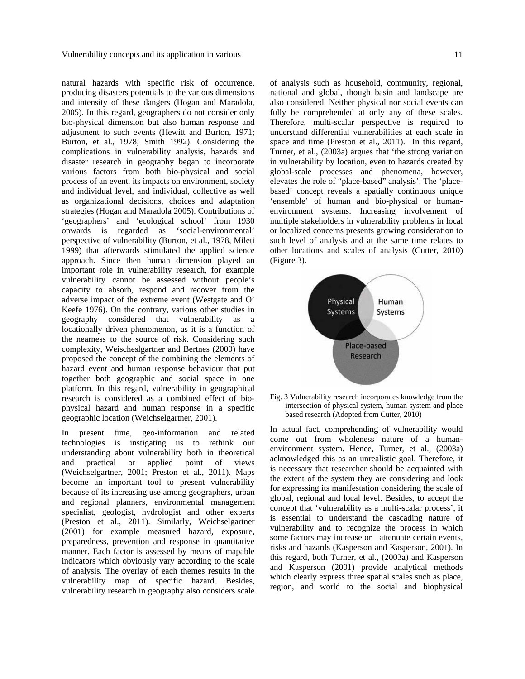natural hazards with specific risk of occurrence, producing disasters potentials to the various dimensions and intensity of these dangers (Hogan and Maradola, 2005). In this regard, geographers do not consider only bio-physical dimension but also human response and adjustment to such events (Hewitt and Burton, 1971; Burton*,* et al., 1978; Smith 1992). Considering the complications in vulnerability analysis, hazards and disaster research in geography began to incorporate various factors from both bio-physical and social process of an event, its impacts on environment, society and individual level, and individual, collective as well as organizational decisions, choices and adaptation strategies (Hogan and Maradola 2005). Contributions of 'geographers' and 'ecological school' from 1930 onwards is regarded as 'social-environmental' perspective of vulnerability (Burton*,* et al., 1978, Mileti 1999) that afterwards stimulated the applied science approach. Since then human dimension played an important role in vulnerability research, for example vulnerability cannot be assessed without people's capacity to absorb, respond and recover from the adverse impact of the extreme event (Westgate and O' Keefe 1976). On the contrary, various other studies in geography considered that vulnerability as a locationally driven phenomenon, as it is a function of the nearness to the source of risk. Considering such complexity, Weischeslgartner and Bertnes (2000) have proposed the concept of the combining the elements of hazard event and human response behaviour that put together both geographic and social space in one platform. In this regard, vulnerability in geographical research is considered as a combined effect of biophysical hazard and human response in a specific geographic location (Weichselgartner, 2001).

In present time, geo-information and related technologies is instigating us to rethink our understanding about vulnerability both in theoretical and practical or applied point of views (Weichselgartner, 2001; Preston et al., 2011). Maps become an important tool to present vulnerability because of its increasing use among geographers, urban and regional planners, environmental management specialist, geologist, hydrologist and other experts (Preston et al., 2011). Similarly, Weichselgartner (2001) for example measured hazard, exposure, preparedness, prevention and response in quantitative manner. Each factor is assessed by means of mapable indicators which obviously vary according to the scale of analysis. The overlay of each themes results in the vulnerability map of specific hazard. Besides, vulnerability research in geography also considers scale

of analysis such as household, community, regional, national and global, though basin and landscape are also considered. Neither physical nor social events can fully be comprehended at only any of these scales. Therefore, multi-scalar perspective is required to understand differential vulnerabilities at each scale in space and time (Preston et al., 2011). In this regard, Turner*,* et al., (2003a) argues that 'the strong variation in vulnerability by location, even to hazards created by global-scale processes and phenomena, however, elevates the role of "place-based" analysis'. The 'placebased' concept reveals a spatially continuous unique 'ensemble' of human and bio-physical or humanenvironment systems. Increasing involvement of multiple stakeholders in vulnerability problems in local or localized concerns presents growing consideration to such level of analysis and at the same time relates to other locations and scales of analysis (Cutter, 2010) (Figure 3).



Fig. 3 Vulnerability research incorporates knowledge from the intersection of physical system, human system and place based research (Adopted from Cutter, 2010)

In actual fact, comprehending of vulnerability would come out from wholeness nature of a humanenvironment system. Hence, Turner*,* et al., (2003a) acknowledged this as an unrealistic goal. Therefore, it is necessary that researcher should be acquainted with the extent of the system they are considering and look for expressing its manifestation considering the scale of global, regional and local level. Besides, to accept the concept that 'vulnerability as a multi-scalar process', it is essential to understand the cascading nature of vulnerability and to recognize the process in which some factors may increase or attenuate certain events, risks and hazards (Kasperson and Kasperson, 2001). In this regard, both Turner*,* et al., (2003a) and Kasperson and Kasperson (2001) provide analytical methods which clearly express three spatial scales such as place, region, and world to the social and biophysical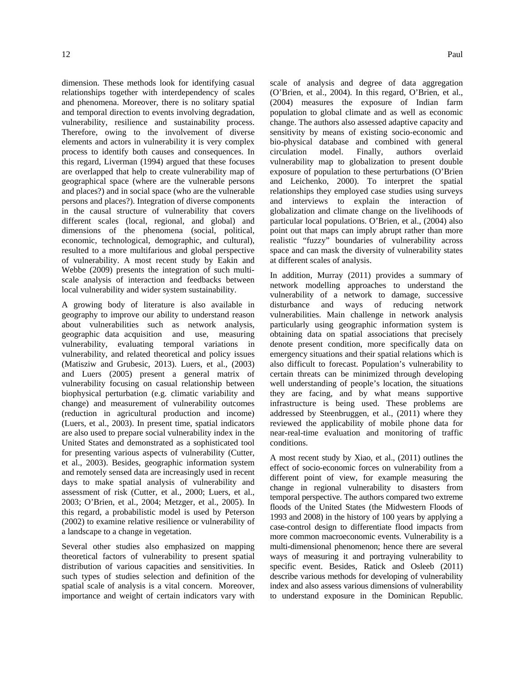dimension. These methods look for identifying casual relationships together with interdependency of scales and phenomena. Moreover, there is no solitary spatial and temporal direction to events involving degradation, vulnerability, resilience and sustainability process. Therefore, owing to the involvement of diverse elements and actors in vulnerability it is very complex process to identify both causes and consequences. In this regard, Liverman (1994) argued that these focuses are overlapped that help to create vulnerability map of geographical space (where are the vulnerable persons and places?) and in social space (who are the vulnerable persons and places?). Integration of diverse components in the causal structure of vulnerability that covers different scales (local, regional, and global) and dimensions of the phenomena (social, political, economic, technological, demographic, and cultural), resulted to a more multifarious and global perspective of vulnerability. A most recent study by Eakin and Webbe (2009) presents the integration of such multiscale analysis of interaction and feedbacks between local vulnerability and wider system sustainability.

A growing body of literature is also available in geography to improve our ability to understand reason about vulnerabilities such as network analysis, geographic data acquisition and use, measuring vulnerability, evaluating temporal variations in vulnerability, and related theoretical and policy issues (Matisziw and Grubesic, 2013). Luers*,* et al., (2003) and Luers (2005) present a general matrix of vulnerability focusing on casual relationship between biophysical perturbation (e.g. climatic variability and change) and measurement of vulnerability outcomes (reduction in agricultural production and income) (Luers, et al., 2003). In present time, spatial indicators are also used to prepare social vulnerability index in the United States and demonstrated as a sophisticated tool for presenting various aspects of vulnerability (Cutter, et al., 2003). Besides, geographic information system and remotely sensed data are increasingly used in recent days to make spatial analysis of vulnerability and assessment of risk (Cutter, et al., 2000; Luers, et al., 2003; O'Brien, et al., 2004; Metzger, et al., 2005). In this regard, a probabilistic model is used by Peterson (2002) to examine relative resilience or vulnerability of a landscape to a change in vegetation.

Several other studies also emphasized on mapping theoretical factors of vulnerability to present spatial distribution of various capacities and sensitivities. In such types of studies selection and definition of the spatial scale of analysis is a vital concern. Moreover, importance and weight of certain indicators vary with scale of analysis and degree of data aggregation (O'Brien, et al., 2004). In this regard, O'Brien*,* et al., (2004) measures the exposure of Indian farm population to global climate and as well as economic change. The authors also assessed adaptive capacity and sensitivity by means of existing socio-economic and bio-physical database and combined with general circulation model. Finally, authors overlaid vulnerability map to globalization to present double exposure of population to these perturbations (O'Brien and Leichenko, 2000). To interpret the spatial relationships they employed case studies using surveys and interviews to explain the interaction of globalization and climate change on the livelihoods of particular local populations. O'Brien*,* et al., (2004) also point out that maps can imply abrupt rather than more realistic "fuzzy" boundaries of vulnerability across space and can mask the diversity of vulnerability states at different scales of analysis.

In addition, Murray (2011) provides a summary of network modelling approaches to understand the vulnerability of a network to damage, successive disturbance and ways of reducing network vulnerabilities. Main challenge in network analysis particularly using geographic information system is obtaining data on spatial associations that precisely denote present condition, more specifically data on emergency situations and their spatial relations which is also difficult to forecast. Population's vulnerability to certain threats can be minimized through developing well understanding of people's location, the situations they are facing, and by what means supportive infrastructure is being used. These problems are addressed by Steenbruggen*,* et al., (2011) where they reviewed the applicability of mobile phone data for near-real-time evaluation and monitoring of traffic conditions.

A most recent study by Xiao*,* et al., (2011) outlines the effect of socio-economic forces on vulnerability from a different point of view, for example measuring the change in regional vulnerability to disasters from temporal perspective. The authors compared two extreme floods of the United States (the Midwestern Floods of 1993 and 2008) in the history of 100 years by applying a case-control design to differentiate flood impacts from more common macroeconomic events. Vulnerability is a multi-dimensional phenomenon; hence there are several ways of measuring it and portraying vulnerability to specific event. Besides, Ratick and Osleeb (2011) describe various methods for developing of vulnerability index and also assess various dimensions of vulnerability to understand exposure in the Dominican Republic.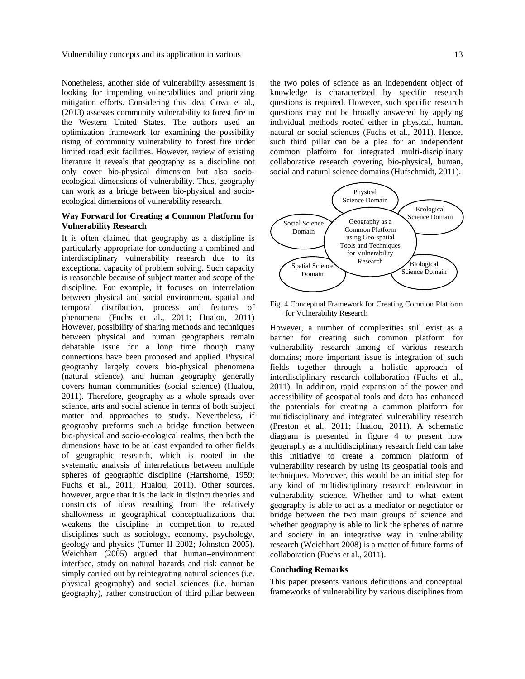Nonetheless, another side of vulnerability assessment is looking for impending vulnerabilities and prioritizing mitigation efforts. Considering this idea, Cova*,* et al., (2013) assesses community vulnerability to forest fire in the Western United States. The authors used an optimization framework for examining the possibility rising of community vulnerability to forest fire under limited road exit facilities. However, review of existing literature it reveals that geography as a discipline not only cover bio-physical dimension but also socioecological dimensions of vulnerability. Thus, geography can work as a bridge between bio-physical and socioecological dimensions of vulnerability research.

# **Way Forward for Creating a Common Platform for Vulnerability Research**

It is often claimed that geography as a discipline is particularly appropriate for conducting a combined and interdisciplinary vulnerability research due to its exceptional capacity of problem solving. Such capacity is reasonable because of subject matter and scope of the discipline. For example, it focuses on interrelation between physical and social environment, spatial and temporal distribution, process and features of phenomena (Fuchs et al., 2011; Hualou, 2011) However, possibility of sharing methods and techniques between physical and human geographers remain debatable issue for a long time though many connections have been proposed and applied. Physical geography largely covers bio-physical phenomena (natural science), and human geography generally covers human communities (social science) (Hualou, 2011). Therefore, geography as a whole spreads over science, arts and social science in terms of both subject matter and approaches to study. Nevertheless, if geography preforms such a bridge function between bio-physical and socio-ecological realms, then both the dimensions have to be at least expanded to other fields of geographic research, which is rooted in the systematic analysis of interrelations between multiple spheres of geographic discipline (Hartshorne, 1959; Fuchs et al., 2011; Hualou, 2011). Other sources, however, argue that it is the lack in distinct theories and constructs of ideas resulting from the relatively shallowness in geographical conceptualizations that weakens the discipline in competition to related disciplines such as sociology, economy, psychology, geology and physics (Turner II 2002; Johnston 2005). Weichhart (2005) argued that human–environment interface, study on natural hazards and risk cannot be simply carried out by reintegrating natural sciences (i.e. physical geography) and social sciences (i.e. human geography), rather construction of third pillar between

the two poles of science as an independent object of knowledge is characterized by specific research questions is required. However, such specific research questions may not be broadly answered by applying individual methods rooted either in physical, human, natural or social sciences (Fuchs et al., 2011). Hence, such third pillar can be a plea for an independent common platform for integrated multi-disciplinary collaborative research covering bio-physical, human, social and natural science domains (Hufschmidt, 2011).



Fig. 4 Conceptual Framework for Creating Common Platform for Vulnerability Research

However, a number of complexities still exist as a barrier for creating such common platform for vulnerability research among of various research domains; more important issue is integration of such fields together through a holistic approach of interdisciplinary research collaboration (Fuchs et al., 2011). In addition, rapid expansion of the power and accessibility of geospatial tools and data has enhanced the potentials for creating a common platform for multidisciplinary and integrated vulnerability research (Preston et al., 2011; Hualou, 2011). A schematic diagram is presented in figure 4 to present how geography as a multidisciplinary research field can take this initiative to create a common platform of vulnerability research by using its geospatial tools and techniques. Moreover, this would be an initial step for any kind of multidisciplinary research endeavour in vulnerability science. Whether and to what extent geography is able to act as a mediator or negotiator or bridge between the two main groups of science and whether geography is able to link the spheres of nature and society in an integrative way in vulnerability research (Weichhart 2008) is a matter of future forms of collaboration (Fuchs et al., 2011).

#### **Concluding Remarks**

This paper presents various definitions and conceptual frameworks of vulnerability by various disciplines from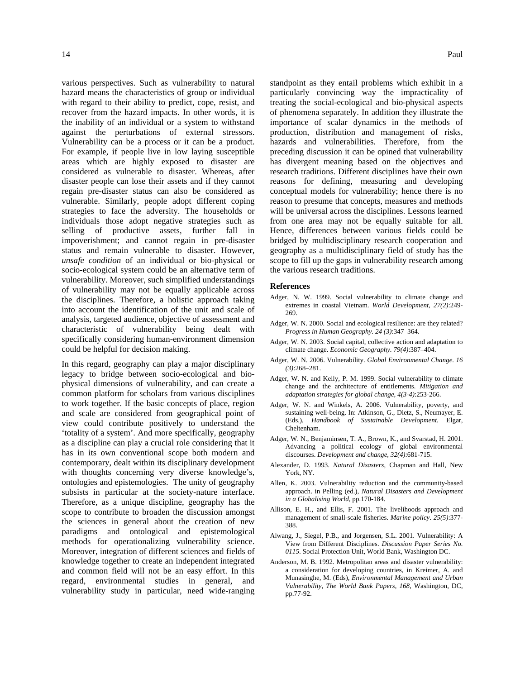various perspectives. Such as vulnerability to natural hazard means the characteristics of group or individual with regard to their ability to predict, cope, resist, and recover from the hazard impacts. In other words, it is the inability of an individual or a system to withstand against the perturbations of external stressors. Vulnerability can be a process or it can be a product. For example, if people live in low laying susceptible areas which are highly exposed to disaster are considered as vulnerable to disaster. Whereas, after disaster people can lose their assets and if they cannot regain pre-disaster status can also be considered as vulnerable. Similarly, people adopt different coping strategies to face the adversity. The households or individuals those adopt negative strategies such as selling of productive assets, further fall in impoverishment; and cannot regain in pre-disaster status and remain vulnerable to disaster. However, *unsafe condition* of an individual or bio-physical or socio-ecological system could be an alternative term of vulnerability. Moreover, such simplified understandings of vulnerability may not be equally applicable across the disciplines. Therefore, a holistic approach taking into account the identification of the unit and scale of analysis, targeted audience, objective of assessment and characteristic of vulnerability being dealt with specifically considering human-environment dimension could be helpful for decision making.

In this regard, geography can play a major disciplinary legacy to bridge between socio-ecological and biophysical dimensions of vulnerability, and can create a common platform for scholars from various disciplines to work together. If the basic concepts of place, region and scale are considered from geographical point of view could contribute positively to understand the 'totality of a system'. And more specifically, geography as a discipline can play a crucial role considering that it has in its own conventional scope both modern and contemporary, dealt within its disciplinary development with thoughts concerning very diverse knowledge's, ontologies and epistemologies. The unity of geography subsists in particular at the society-nature interface. Therefore, as a unique discipline, geography has the scope to contribute to broaden the discussion amongst the sciences in general about the creation of new paradigms and ontological and epistemological methods for operationalizing vulnerability science. Moreover, integration of different sciences and fields of knowledge together to create an independent integrated and common field will not be an easy effort. In this regard, environmental studies in general, and vulnerability study in particular, need wide-ranging

standpoint as they entail problems which exhibit in a particularly convincing way the impracticality of treating the social-ecological and bio-physical aspects of phenomena separately. In addition they illustrate the importance of scalar dynamics in the methods of production, distribution and management of risks, hazards and vulnerabilities. Therefore, from the preceding discussion it can be opined that vulnerability has divergent meaning based on the objectives and research traditions. Different disciplines have their own reasons for defining, measuring and developing conceptual models for vulnerability; hence there is no reason to presume that concepts, measures and methods will be universal across the disciplines. Lessons learned from one area may not be equally suitable for all. Hence, differences between various fields could be bridged by multidisciplinary research cooperation and geography as a multidisciplinary field of study has the scope to fill up the gaps in vulnerability research among the various research traditions.

#### **References**

- Adger, N. W. 1999. Social vulnerability to climate change and extremes in coastal Vietnam. *World Development*, *27(2)*:249- 269.
- Adger, W. N. 2000. Social and ecological resilience: are they related? *Progress in Human Geography. 24 (3)*:347–364.
- Adger, W. N. 2003. Social capital, collective action and adaptation to climate change. *Economic Geography. 79(4)*:387–404.
- Adger, W. N. 2006. Vulnerability. *Global Environmental Change. 16 (3)*:268–281.
- Adger, W. N. and Kelly, P. M. 1999. Social vulnerability to climate change and the architecture of entitlements. *Mitigation and adaptation strategies for global change*, *4(3-4)*:253-266.
- Adger, W. N. and Winkels, A. 2006. Vulnerability, poverty, and sustaining well-being. In: Atkinson, G., Dietz, S., Neumayer, E. (Eds.), *Handbook of Sustainable Development*. Elgar, Cheltenham.
- Adger, W. N., Benjaminsen, T. A., Brown, K., and Svarstad, H. 2001. Advancing a political ecology of global environmental discourses. *Development and change*, *32(4)*:681-715.
- Alexander, D. 1993. *Natural Disasters*, Chapman and Hall, New York, NY.
- Allen, K. 2003. Vulnerability reduction and the community-based approach. in Pelling (ed.), *Natural Disasters and Development in a Globalising World*, pp.170-184.
- Allison, E. H., and Ellis, F. 2001. The livelihoods approach and management of small-scale fisheries. *Marine policy*. *25(5)*:377- 388.
- Alwang, J., Siegel, P.B., and Jorgensen, S.L. 2001. Vulnerability: A View from Different Disciplines. *Discussion Paper Series No. 0115*. Social Protection Unit, World Bank, Washington DC.
- Anderson, M. B. 1992. Metropolitan areas and disaster vulnerability: a consideration for developing countries, in Kreimer, A. and Munasinghe, M. (Eds), *Environmental Management and Urban Vulnerability*, *The World Bank Papers*, *168*, Washington, DC, pp.77-92.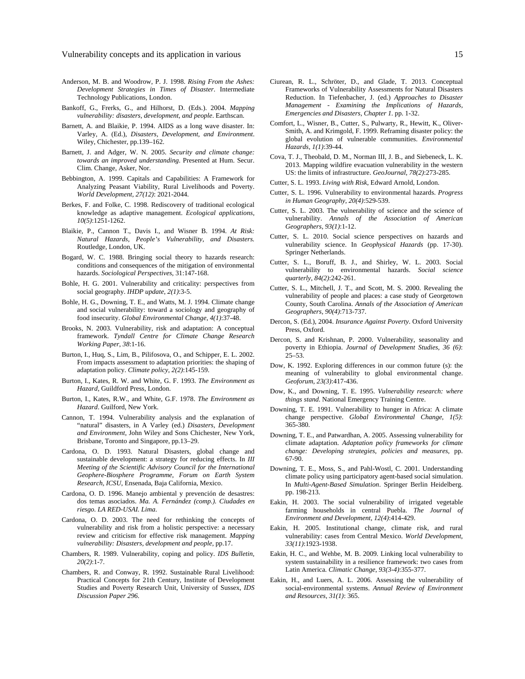- Anderson, M. B. and Woodrow, P. J. 1998. *Rising From the Ashes: Development Strategies in Times of Disaster*. Intermediate Technology Publications, London.
- Bankoff, G., Frerks, G., and Hilhorst, D. (Eds.). 2004. *Mapping vulnerability: disasters, development, and people*. Earthscan.
- Barnett, A. and Blaikie, P. 1994. AIDS as a long wave disaster. In: Varley, A. (Ed.), *Disasters, Development, and Environment*. Wiley, Chichester, pp.139–162.
- Barnett, J. and Adger, W. N. 2005. *Security and climate change: towards an improved understanding*. Presented at Hum. Secur. Clim. Change, Asker, Nor.
- Bebbington, A. 1999. Capitals and Capabilities: A Framework for Analyzing Peasant Viability, Rural Livelihoods and Poverty. *World Development, 27(12)*: 2021-2044.
- Berkes, F. and Folke, C. 1998. Rediscovery of traditional ecological knowledge as adaptive management. *Ecological applications*, *10(5)*:1251-1262.
- Blaikie, P., Cannon T., Davis I., and Wisner B. 1994. *At Risk: Natural Hazards, People's Vulnerability, and Disasters.* Routledge, London, UK.
- Bogard, W. C. 1988. Bringing social theory to hazards research: conditions and consequences of the mitigation of environmental hazards. *Sociological Perspectives*, 31:147-168.
- Bohle, H. G. 2001. Vulnerability and criticality: perspectives from social geography. *IHDP update*, *2(1)*:3-5.
- Bohle, H. G., Downing, T. E., and Watts, M. J. 1994. Climate change and social vulnerability: toward a sociology and geography of food insecurity. *Global Environmental Change*, *4(1)*:37-48.
- Brooks, N. 2003. Vulnerability, risk and adaptation: A conceptual framework. *Tyndall Centre for Climate Change Research Working Paper*, *38*:1-16.
- Burton, I., Huq, S., Lim, B., Pilifosova, O., and Schipper, E. L. 2002. From impacts assessment to adaptation priorities: the shaping of adaptation policy. *Climate policy*, *2(2)*:145-159.
- Burton, I., Kates, R. W. and White, G. F. 1993. *The Environment as Hazard*, Guildford Press, London.
- Burton, I., Kates, R.W., and White, G.F. 1978. *The Environment as Hazard*. Guilford, New York.
- Cannon, T. 1994. Vulnerability analysis and the explanation of "natural" disasters, in A Varley (ed.) *Disasters, Development and Environment*, John Wiley and Sons Chichester, New York, Brisbane, Toronto and Singapore, pp.13–29.
- Cardona, O. D. 1993. Natural Disasters, global change and sustainable development: a strategy for reducing effects. In *III Meeting of the Scientific Advisory Council for the International Geophere-Biosphere Programme, Forum on Earth System Research, ICSU*, Ensenada, Baja California, Mexico.
- Cardona, O. D. 1996. Manejo ambiental y prevención de desastres: dos temas asociados. *Ma. A. Fernández (comp.). Ciudades en riesgo. LA RED-USAI. Lima*.
- Cardona, O. D. 2003. The need for rethinking the concepts of vulnerability and risk from a holistic perspective: a necessary review and criticism for effective risk management. *Mapping vulnerability: Disasters, development and people*, pp.17.
- Chambers, R. 1989. Vulnerability, coping and policy. *IDS Bulletin, 20(2)*:1-7.
- Chambers, R. and Conway, R. 1992. Sustainable Rural Livelihood: Practical Concepts for 21th Century, Institute of Development Studies and Poverty Research Unit, University of Sussex, *IDS Discussion Paper 296*.
- Ciurean, R. L., Schröter, D., and Glade, T. 2013. Conceptual Frameworks of Vulnerability Assessments for Natural Disasters Reduction. In Tiefenbacher, J. (ed.) *Approaches to Disaster Management - Examining the Implications of Hazards, Emergencies and Disasters, Chapter 1.* pp. 1-32.
- Comfort, L., Wisner, B., Cutter, S., Pulwarty, R., Hewitt, K., Oliver-Smith, A. and Krimgold, F. 1999. Reframing disaster policy: the global evolution of vulnerable communities. *Environmental Hazards*, *1(1)*:39-44.
- Cova, T. J., Theobald, D. M., Norman III, J. B., and Siebeneck, L. K. 2013. Mapping wildfire evacuation vulnerability in the western US: the limits of infrastructure. *GeoJournal*, *78(2)*:273-285.
- Cutter, S. L. 1993. *Living with Risk*, Edward Arnold, London.
- Cutter, S. L. 1996. Vulnerability to environmental hazards. *Progress in Human Geography*, *20(4)*:529-539.
- Cutter, S. L. 2003. The vulnerability of science and the science of vulnerability. *Annals of the Association of American Geographers*, *93(1)*:1-12.
- Cutter, S. L. 2010. Social science perspectives on hazards and vulnerability science. In *Geophysical Hazards* (pp. 17-30). Springer Netherlands.
- Cutter, S. L., Boruff, B. J., and Shirley, W. L. 2003. Social vulnerability to environmental hazards. *Social science quarterly*, *84(2)*:242-261.
- Cutter, S. L., Mitchell, J. T., and Scott, M. S. 2000. Revealing the vulnerability of people and places: a case study of Georgetown County, South Carolina. *Annals of the Association of American Geographers*, *90(4)*:713-737.
- Dercon, S. (Ed.), 2004. *Insurance Against Poverty*. Oxford University Press, Oxford.
- Dercon, S. and Krishnan, P. 2000. Vulnerability, seasonality and poverty in Ethiopia. *Journal of Development Studies, 36 (6)*: 25–53.
- Dow, K. 1992. Exploring differences in our common future (s): the meaning of vulnerability to global environmental change. *Geoforum*, *23(3)*:417-436.
- Dow, K., and Downing, T. E. 1995. *Vulnerability research: where things stand*. National Emergency Training Centre.
- Downing, T. E. 1991. Vulnerability to hunger in Africa: A climate change perspective. *Global Environmental Change*, *1(5)*: 365-380.
- Downing, T. E., and Patwardhan, A. 2005. Assessing vulnerability for climate adaptation. *Adaptation policy frameworks for climate change: Developing strategies, policies and measures*, pp. 67-90.
- Downing, T. E., Moss, S., and Pahl-Wostl, C. 2001. Understanding climate policy using participatory agent-based social simulation. In *Multi-Agent-Based Simulation*. Springer Berlin Heidelberg. pp. 198-213.
- Eakin, H. 2003. The social vulnerability of irrigated vegetable farming households in central Puebla. *The Journal of Environment and Development*, *12(4)*:414-429.
- Eakin, H. 2005. Institutional change, climate risk, and rural vulnerability: cases from Central Mexico. *World Development*, *33(11)*:1923-1938.
- Eakin, H. C., and Wehbe, M. B. 2009. Linking local vulnerability to system sustainability in a resilience framework: two cases from Latin America. *Climatic Change*, *93(3-4)*:355-377.
- Eakin, H., and Luers, A. L. 2006. Assessing the vulnerability of social-environmental systems. *Annual Review of Environment and Resources*, *31(1)*: 365.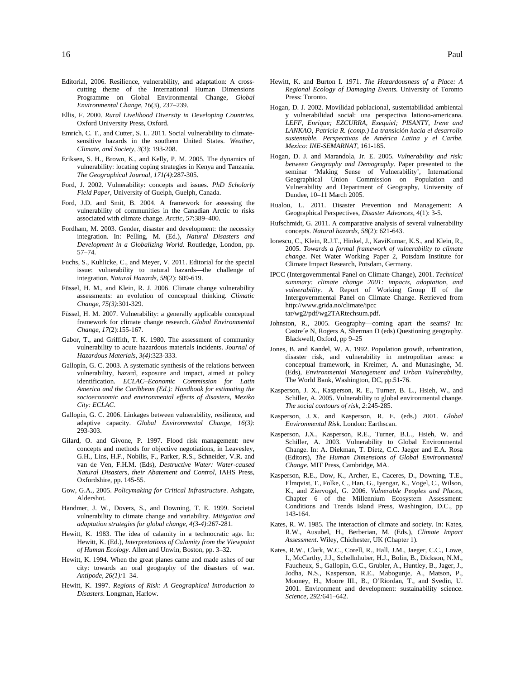- Ellis, F. 2000. *Rural Livelihood Diversity in Developing Countries*. Oxford University Press, Oxford.
- Emrich, C. T., and Cutter, S. L. 2011. Social vulnerability to climatesensitive hazards in the southern United States. *Weather, Climate, and Society*, *3*(3): 193-208.
- Eriksen, S. H., Brown, K., and Kelly, P. M. 2005. The dynamics of vulnerability: locating coping strategies in Kenya and Tanzania. *The Geographical Journal*, *171(4)*:287-305.
- Ford, J. 2002. Vulnerability: concepts and issues. *PhD Scholarly Field Paper,* University of Guelph, Guelph, Canada.
- Ford, J.D. and Smit, B. 2004. A framework for assessing the vulnerability of communities in the Canadian Arctic to risks associated with climate change. *Arctic, 57*:389–400.
- Fordham, M. 2003. Gender, disaster and development: the necessity integration. In: Pelling, M. (Ed.), *Natural Disasters and Development in a Globalizing World*. Routledge, London, pp. 57–74.
- Fuchs, S., Kuhlicke, C., and Meyer, V. 2011. Editorial for the special issue: vulnerability to natural hazards—the challenge of integration. *Natural Hazards*, *58*(2): 609-619.
- Füssel, H. M., and Klein, R. J. 2006. Climate change vulnerability assessments: an evolution of conceptual thinking. *Climatic Change*, *75(3)*:301-329.
- Füssel, H. M. 2007. Vulnerability: a generally applicable conceptual framework for climate change research. *Global Environmental Change*, *17*(2):155-167.
- Gabor, T., and Griffith, T. K. 1980. The assessment of community vulnerability to acute hazardous materials incidents. *Journal of Hazardous Materials*, *3(4)*:323-333.
- Gallopín, G. C. 2003. A systematic synthesis of the relations between vulnerability, hazard, exposure and impact, aimed at policy identification. *ECLAC–Economic Commission for Latin America and the Caribbean (Ed.): Handbook for estimating the socioeconomic and environmental effects of disasters, Mexiko City: ECLAC*.
- Gallopín, G. C. 2006. Linkages between vulnerability, resilience, and adaptive capacity. *Global Environmental Change*, *16(3)*: 293-303.
- Gilard, O. and Givone, P. 1997. Flood risk management: new concepts and methods for objective negotiations, in Leavesley, G.H., Lins, H.F., Nobilis, F., Parker, R.S., Schneider, V.R. and van de Ven, F.H.M. (Eds), *Destructive Water: Water-caused Natural Disasters, their Abatement and Control*, IAHS Press, Oxfordshire, pp. 145-55.
- Gow, G.A., 2005. *Policymaking for Critical Infrastructure*. Ashgate, Aldershot.
- Handmer, J. W., Dovers, S., and Downing, T. E. 1999. Societal vulnerability to climate change and variability. *Mitigation and adaptation strategies for global change*, *4(3-4)*:267-281.
- Hewitt, K. 1983. The idea of calamity in a technocratic age. In: Hewitt, K. (Ed.), *Interpretations of Calamity from the Viewpoint of Human Ecology*. Allen and Unwin, Boston, pp. 3–32.
- Hewitt, K. 1994. When the great planes came and made ashes of our city: towards an oral geography of the disasters of war. *Antipode, 26(1):*1–34.
- Hewitt, K. 1997. *Regions of Risk: A Geographical Introduction to Disasters*. Longman, Harlow.
- Hewitt, K. and Burton I. 1971. *The Hazardousness of a Place: A Regional Ecology of Damaging Events.* University of Toronto Press: Toronto.
- Hogan, D. J. 2002. Movilidad poblacional, sustentabilidad ambiental y vulnerabilidad social: una perspectiva lationo-americana. *LEFF, Enrique; EZCURRA, Exequiel; PISANTY, Irene and LANKAO, Patricia R. (comp.) La transición hacia el desarrollo sustentable. Perspectivas de América Latina y el Caribe. Mexico: INE-SEMARNAT*, 161-185.
- Hogan, D. J. and Marandola, Jr. E. 2005. *Vulnerability and risk: between Geography and Demography.* Paper presented to the seminar 'Making Sense of Vulnerability', International Geographical Union Commission on Population and Vulnerability and Department of Geography, University of Dundee, 10–11 March 2005.
- Hualou, L. 2011. Disaster Prevention and Management: A Geographical Perspectives, *Disaster Advances*, 4(1): 3-5.
- Hufschmidt, G. 2011. A comparative analysis of several vulnerability concepts. *Natural hazards*, *58*(2): 621-643.
- Ionescu, C., Klein, R.J.T., Hinkel, J., KaviKumar, K.S., and Klein, R., 2005. *Towards a formal framework of vulnerability to climate change*. Net Water Working Paper 2, Potsdam Institute for Climate Impact Research, Potsdam, Germany.
- IPCC (Intergovernmental Panel on Climate Change), 2001. *Technical summary: climate change 2001: impacts, adaptation, and vulnerability*. A Report of Working Group II of the Intergovernmental Panel on Climate Change. Retrieved from http://www.grida.no/climate/ipcc tar/wg2/pdf/wg2TARtechsum.pdf.
- Johnston, R., 2005. Geography—coming apart the seams? In: Castre´e N, Rogers A, Sherman D (eds) Questioning geography. Blackwell, Oxford, pp 9–25
- Jones, B. and Kandel, W. A. 1992. Population growth, urbanization, disaster risk, and vulnerability in metropolitan areas: a conceptual framework, in Kreimer, A. and Munasinghe, M. (Eds), *Environmental Management and Urban Vulnerability*, The World Bank, Washington, DC, pp.51-76.
- Kasperson, J. X., Kasperson, R. E., Turner, B. L., Hsieh, W., and Schiller, A. 2005. Vulnerability to global environmental change. *The social contours of risk*, *2:*245-285.
- Kasperson, J. X. and Kasperson, R. E. (eds.) 2001. *Global Environmental Risk*. London: Earthscan.
- Kasperson, J.X., Kasperson, R.E., Turner, B.L., Hsieh, W. and Schiller, A. 2003. Vulnerability to Global Environmental Change. In: A. Diekman, T. Dietz, C.C. Jaeger and E.A. Rosa (Editors), *The Human Dimensions of Global Environmental Change*. MIT Press, Cambridge, MA.
- Kasperson, R.E., Dow, K., Archer, E., Caceres, D., Downing, T.E., Elmqvist, T., Folke, C., Han, G., Iyengar, K., Vogel, C., Wilson, K., and Ziervogel, G. 2006. *Vulnerable Peoples and Places*, Chapter 6 of the Millennium Ecosystem Assessment: Conditions and Trends Island Press, Washington, D.C., pp 143-164.
- Kates, R. W. 1985. The interaction of climate and society. In: Kates, R.W., Ausubel, H., Berberian, M. (Eds.), *Climate Impact Assessment*. Wiley, Chichester, UK (Chapter 1).
- Kates, R.W., Clark, W.C., Corell, R., Hall, J.M., Jaeger, C.C., Lowe, I., McCarthy, J.J., Schellnhuber, H.J., Bolin, B., Dickson, N.M., Faucheux, S., Gallopin, G.C., Grubler, A., Huntley, B., Jager, J., Jodha, N.S., Kasperson, R.E., Mabogunje, A., Matson, P., Mooney, H., Moore III., B., O'Riordan, T., and Svedin, U. 2001. Environment and development: sustainability science. *Science, 292:*641–642.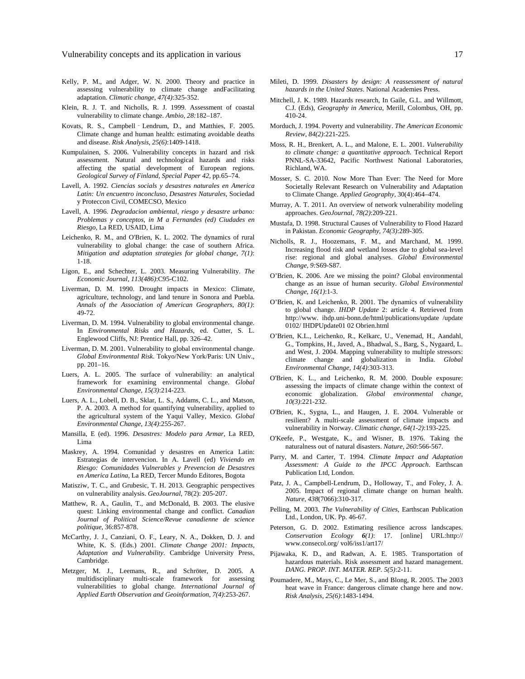- Kelly, P. M., and Adger, W. N. 2000. Theory and practice in assessing vulnerability to climate change andFacilitating adaptation. *Climatic change*, *47(4)*:325-352.
- Klein, R. J. T. and Nicholls, R. J. 1999. Assessment of coastal vulnerability to climate change. *Ambio, 28:*182–187.
- Kovats, R. S., Campbell‐Lendrum, D., and Matthies, F. 2005. Climate change and human health: estimating avoidable deaths and disease. *Risk Analysis*, *25(6)*:1409-1418.
- Kumpulainen, S. 2006. Vulnerability concepts in hazard and risk assessment. Natural and technological hazards and risks affecting the spatial development of European regions. *Geological Survey of Finland, Special Paper 42,* pp*.*65–74.
- Lavell, A. 1992. *Ciencias socials y desastres naturales en America Latin: Un encuentro inconcluso, Desastres Naturales*, Sociedad y Proteccon Civil, COMECSO, Mexico
- Lavell, A. 1996. *Degradacion ambiental, riesgo y desastre urbano: Problemas y conceptos, in M a Fernandes (ed) Ciudades en Riesgo*, La RED, USAID, Lima
- Leichenko, R. M., and O'Brien, K. L. 2002. The dynamics of rural vulnerability to global change: the case of southern Africa. *Mitigation and adaptation strategies for global change*, *7(1)*: 1-18.
- Ligon, E., and Schechter, L. 2003. Measuring Vulnerability. *The Economic Journal*, *113(486)*:C95-C102.
- Liverman, D. M. 1990. Drought impacts in Mexico: Climate, agriculture, technology, and land tenure in Sonora and Puebla. *Annals of the Association of American Geographers*, *80(1)*: 49-72.
- Liverman, D. M. 1994. Vulnerability to global environmental change. In *Environmental Risks and Hazards*, ed. Cutter, S. L. Englewood Cliffs, NJ: Prentice Hall, pp. 326–42.
- Liverman, D. M. 2001. Vulnerability to global environmental change. *Global Environmental Risk*. Tokyo/New York/Paris: UN Univ., pp. 201–16.
- Luers, A. L. 2005. The surface of vulnerability: an analytical framework for examining environmental change. *Global Environmental Change*, *15(3)*:214-223.
- Luers, A. L., Lobell, D. B., Sklar, L. S., Addams, C. L., and Matson, P. A. 2003. A method for quantifying vulnerability, applied to the agricultural system of the Yaqui Valley, Mexico. *Global Environmental Change*, *13(4)*:255-267.
- Mansilla, E (ed). 1996. *Desastres: Modelo para Armar*, La RED, Lima
- Maskrey, A. 1994. Comunidad y desastres en America Latin: Estrategias de intervencion. In A. Lavell (ed) *Viviendo en Riesgo: Comunidades Vulnerables y Prevencion de Desastres en America Latina*, La RED, Tercer Mundo Editores, Bogota
- Matisziw, T. C., and Grubesic, T. H. 2013. Geographic perspectives on vulnerability analysis. *GeoJournal*, 78(2): 205-207.
- Matthew, R. A., Gaulin, T., and McDonald, B. 2003. The elusive quest: Linking environmental change and conflict. *Canadian Journal of Political Science/Revue canadienne de science politique*, 36:857-878.
- McCarthy, J. J., Canziani, O. F., Leary, N. A., Dokken, D. J. and White, K. S. (Eds.) 2001. *Climate Change 2001: Impacts, Adaptation and Vulnerability*. Cambridge University Press, Cambridge.
- Metzger, M. J., Leemans, R., and Schröter, D. 2005. A multidisciplinary multi-scale framework for assessing vulnerabilities to global change. *International Journal of Applied Earth Observation and Geoinformation*, *7(4)*:253-267.
- Mileti, D. 1999. *Disasters by design: A reassessment of natural hazards in the United States*. National Academies Press.
- Mitchell, J. K. 1989. Hazards research, In Gaile, G.L. and Willmott, C.J. (Eds), *Geography in America*, Merill, Colombus, OH, pp. 410-24.
- Morduch, J. 1994. Poverty and vulnerability. *The American Economic Review*, *84(2)*:221-225.
- Moss, R. H., Brenkert, A. L., and Malone, E. L. 2001. *Vulnerability to climate change: a quantitative approach.* Technical Report PNNL-SA-33642, Pacific Northwest National Laboratories, Richland, WA.
- Mosser, S. C. 2010. Now More Than Ever: The Need for More Societally Relevant Research on Vulnerability and Adaptation to Climate Change. *Applied Geography,* 30(4):464–474.
- Murray, A. T. 2011. An overview of network vulnerability modeling approaches. *GeoJournal*, *78(2)*:209-221.
- Mustafa, D. 1998. Structural Causes of Vulnerability to Flood Hazard in Pakistan. *Economic Geography*, *74(3)*:289-305.
- Nicholls, R. J., Hoozemans, F. M., and Marchand, M. 1999. Increasing flood risk and wetland losses due to global sea-level rise: regional and global analyses. *Global Environmental Change*, *9:*S69-S87.
- O'Brien, K. 2006. Are we missing the point? Global environmental change as an issue of human security. *Global Environmental Change*, *16(1)*:1-3.
- O'Brien, K. and Leichenko, R. 2001. The dynamics of vulnerability to global change. *IHDP Update* 2: article 4. Retrieved from http://www. ihdp.uni-bonn.de/html/publications/update /update 0102/ IHDPUpdate01 02 Obrien.html
- O'Brien, K.L., Leichenko, R., Kelkarc, U., Venemad, H., Aandahl, G., Tompkins, H., Javed, A., Bhadwal, S., Barg, S., Nygaard, L. and West, J. 2004. Mapping vulnerability to multiple stressors: climate change and globalization in India. *Global Environmental Change, 14(4)*:303-313.
- O'Brien, K. L., and Leichenko, R. M. 2000. Double exposure: assessing the impacts of climate change within the context of economic globalization. *Global environmental change*, *10(3)*:221-232.
- O'Brien, K., Sygna, L., and Haugen, J. E. 2004. Vulnerable or resilient? A multi-scale assessment of climate impacts and vulnerability in Norway. *Climatic change*, *64(1-2)*:193-225.
- O'Keefe, P., Westgate, K., and Wisner, B. 1976. Taking the naturalness out of natural disasters. *Nature*, *260:*566-567.
- Parry, M. and Carter, T. 1994. *Climate Impact and Adaptation Assessment: A Guide to the IPCC Approach*. Earthscan Publication Ltd, London.
- Patz, J. A., Campbell-Lendrum, D., Holloway, T., and Foley, J. A. 2005. Impact of regional climate change on human health. *Nature*, *438*(7066):310-317.
- Pelling, M. 2003. *The Vulnerability of Cities*, Earthscan Publication Ltd., London, UK. Pp. 46-67.
- Peterson, G. D. 2002. Estimating resilience across landscapes. *Conservation Ecology 6(1)*: 17. [online] URL:http:// www.consecol.org/ vol6/iss1/art17/
- Pijawaka, K. D., and Radwan, A. E. 1985. Transportation of hazardous materials. Risk assessment and hazard management. *DANG. PROP. INT. MATER. REP. 5(5)*:2-11.
- Poumadere, M., Mays, C., Le Mer, S., and Blong, R. 2005. The 2003 heat wave in France: dangerous climate change here and now. *Risk Analysis*, *25(6)*:1483-1494.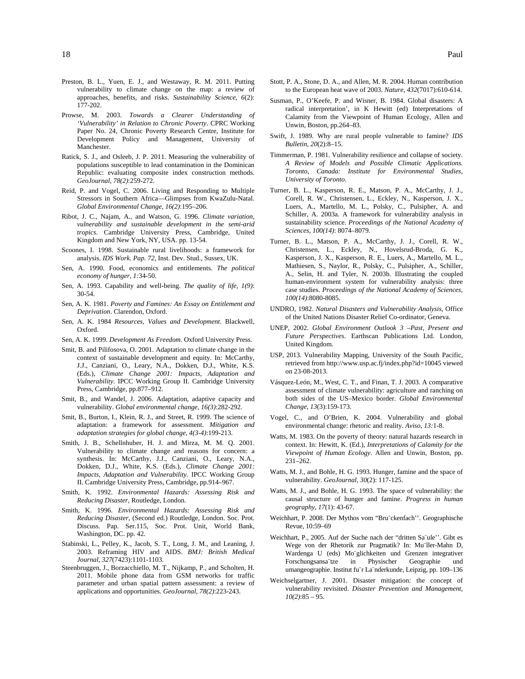- Preston, B. L., Yuen, E. J., and Westaway, R. M. 2011. Putting vulnerability to climate change on the map: a review of approaches, benefits, and risks. *Sustainability Science*, *6*(2): 177-202.
- Prowse, M. 2003. *Towards a Clearer Understanding of 'Vulnerability' in Relation to Chronic Poverty*. CPRC Working Paper No. 24, Chronic Poverty Research Centre, Institute for Development Policy and Management, University of Manchester.
- Ratick, S. J., and Osleeb, J. P. 2011. Measuring the vulnerability of populations susceptible to lead contamination in the Dominican Republic: evaluating composite index construction methods. *GeoJournal*, *78(2)*:259-272.
- Reid, P. and Vogel, C. 2006. Living and Responding to Multiple Stressors in Southern Africa—Glimpses from KwaZulu-Natal. *Global Environmental Change, 16(2)*:195–206.
- Ribot, J. C., Najam, A., and Watson, G. 1996. *Climate variation, vulnerability and sustainable development in the semi-arid tropics*. Cambridge University Press, Cambridge, United Kingdom and New York, NY, USA. pp. 13-54.
- Scoones, I. 1998. Sustainable rural livelihoods: a framework for analysis. *IDS Work. Pap. 72*, Inst. Dev. Stud., Sussex, UK.
- Sen, A. 1990. Food, economics and entitlements. *The political economy of hunger*, *1:*34-50.
- Sen, A. 1993. Capability and well-being. *The quality of life*, *1(9)*: 30-54.
- Sen, A. K. 1981. *Poverty and Famines: An Essay on Entitlement and Deprivation*. Clarendon, Oxford.
- Sen, A. K. 1984 *Resources, Values and Development*. Blackwell, Oxford.
- Sen, A. K. 1999. *Development As Freedom*. Oxford University Press.
- Smit, B. and Pilifosova, O. 2001. Adaptation to climate change in the context of sustainable development and equity. In: McCarthy, J.J., Canziani, O., Leary, N.A., Dokken, D.J., White, K.S. (Eds.), *Climate Change 2001: Impacts, Adaptation and Vulnerability*. IPCC Working Group II. Cambridge University Press, Cambridge, pp.877–912.
- Smit, B., and Wandel, J. 2006. Adaptation, adaptive capacity and vulnerability. *Global environmental change*, *16(3)*:282-292.
- Smit, B., Burton, I., Klein, R. J., and Street, R. 1999. The science of adaptation: a framework for assessment. *Mitigation and adaptation strategies for global change*, *4(3-4)*:199-213.
- Smith, J. B., Schellnhuber, H. J. and Mirza, M. M. Q. 2001. Vulnerability to climate change and reasons for concern: a synthesis. In: McCarthy, J.J., Canziani, O., Leary, N.A., Dokken, D.J., White, K.S. (Eds.), *Climate Change 2001: Impacts, Adaptation and Vulnerability*. IPCC Working Group II. Cambridge University Press, Cambridge, pp.914–967.
- Smith, K. 1992. *Environmental Hazards: Assessing Risk and Reducing Disaster*, Routledge, London.
- Smith, K. 1996. *Environmental Hazards: Assessing Risk and Reducing Disaster*, (Second ed.) Routledge, London. Soc. Prot. Discuss. Pap. Ser.115, Soc. Prot. Unit, World Bank, Washington, DC. pp. 42.
- Stabinski, L., Pelley, K., Jacob, S. T., Long, J. M., and Leaning, J. 2003. Reframing HIV and AIDS. *BMJ: British Medical Journal*, *327*(7423):1101-1103.
- Steenbruggen, J., Borzacchiello, M. T., Nijkamp, P., and Scholten, H. 2011. Mobile phone data from GSM networks for traffic parameter and urban spatial pattern assessment: a review of applications and opportunities. *GeoJournal*, *78(2)*:223-243.
- Stott, P. A., Stone, D. A., and Allen, M. R. 2004. Human contribution to the European heat wave of 2003. *Nature*, *432*(7017):610-614.
- Susman, P., O'Keefe, P. and Wisner, B. 1984. Global disasters: A radical interpretation', in K Hewitt (ed) Interpretations of Calamity from the Viewpoint of Human Ecology, Allen and Unwin, Boston, pp.264–83.
- Swift, J. 1989. Why are rural people vulnerable to famine? *IDS Bulletin, 20*(2):8–15.
- Timmerman, P. 1981. Vulnerability resilience and collapse of society. *A Review of Models and Possible Climatic Applications. Toronto, Canada: Institute for Environmental Studies, University of Toronto*.
- Turner, B. L., Kasperson, R. E., Matson, P. A., McCarthy, J. J., Corell, R. W., Christensen, L., Eckley, N., Kasperson, J. X., Luers, A., Martello, M. L., Polsky, C., Pulsipher, A. and Schiller, A. 2003a. A framework for vulnerability analysis in sustainability science. *Proceedings of the National Academy of Sciences, 100(14)*: 8074–8079.
- Turner, B. L., Matson, P. A., McCarthy, J. J., Corell, R. W., Christensen, L., Eckley, N., Hovelsrud-Broda, G. K., Kasperson, J. X., Kasperson, R. E., Luers, A., Martello, M. L., Mathiesen, S., Naylor, R., Polsky, C., Pulsipher, A., Schiller, A., Selin, H. and Tyler, N. 2003b. Illustrating the coupled human-environment system for vulnerability analysis: three case studies. *Proceedings of the National Academy of Sciences*, *100(14)*:8080-8085.
- UNDRO, 1982. *Natural Disasters and Vulnerability Analysis*, Office of the United Nations Disaster Relief Co-ordinator, Geneva.
- UNEP, 2002. *Global Environment Outlook 3 –Past, Present and Future Perspectives*. Earthscan Publications Ltd. London, United Kingdom.
- USP, 2013. Vulnerability Mapping, University of the South Pacific, retrieved from http://www.usp.ac.fj/index.php?id=10045 viewed on 23-08-2013.
- Vásquez-León, M., West, C. T., and Finan, T. J. 2003. A comparative assessment of climate vulnerability: agriculture and ranching on both sides of the US–Mexico border. *Global Environmental Change*, *13*(3):159-173.
- Vogel, C., and O'Brien, K. 2004. Vulnerability and global environmental change: rhetoric and reality. *Aviso*, *13:*1-8.
- Watts, M. 1983. On the poverty of theory: natural hazards research in context. In: Hewitt, K. (Ed.), *Interpretations of Calamity for the Viewpoint of Human Ecology*. Allen and Unwin, Boston, pp. 231–262.
- Watts, M. J., and Bohle, H. G. 1993. Hunger, famine and the space of vulnerability. *GeoJournal*, *30*(2): 117-125.
- Watts, M. J., and Bohle, H. G. 1993. The space of vulnerability: the causal structure of hunger and famine. *Progress in human geography*, *17*(1): 43-67.
- Weichhart, P. 2008. Der Mythos vom "Bru¨ckenfach''. Geographische Revue, 10:59–69
- Weichhart, P., 2005. Auf der Suche nach der "dritten Sa¨ule''. Gibt es Wege von der Rhetorik zur Pragmatik? In: Mu¨ller-Mahn D, Wardenga U (eds) Mo¨glichkeiten und Grenzen integrativer Forschungsansa¨tze in Physischer Geographie und umangeographie. Institut fu¨r La¨nderkunde, Leipzig, pp. 109–136
- Weichselgartner, J. 2001. Disaster mitigation: the concept of vulnerability revisited. *Disaster Prevention and Management*, *10(2)*:85 – 95.